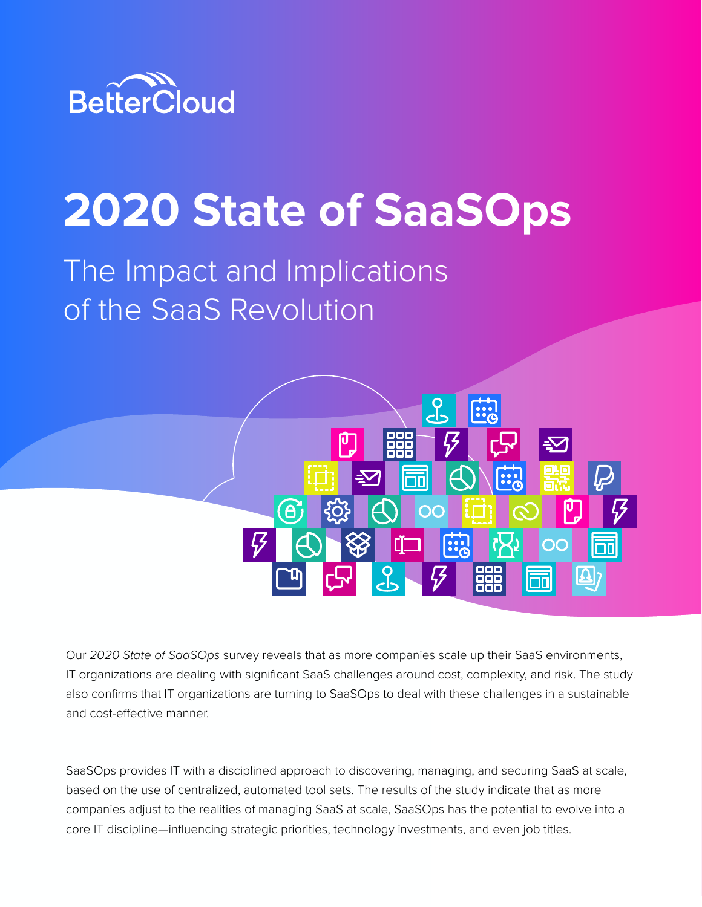

# **2020 State of SaaSOps**

# The Impact and Implications of the SaaS Revolution



Our *2020 State of SaaSOps* survey reveals that as more companies scale up their SaaS environments, IT organizations are dealing with significant SaaS challenges around cost, complexity, and risk. The study also confirms that IT organizations are turning to SaaSOps to deal with these challenges in a sustainable and cost-effective manner.

SaaSOps provides IT with a disciplined approach to discovering, managing, and securing SaaS at scale, based on the use of centralized, automated tool sets. The results of the study indicate that as more companies adjust to the realities of managing SaaS at scale, SaaSOps has the potential to evolve into a core IT discipline—influencing strategic priorities, technology investments, and even job titles.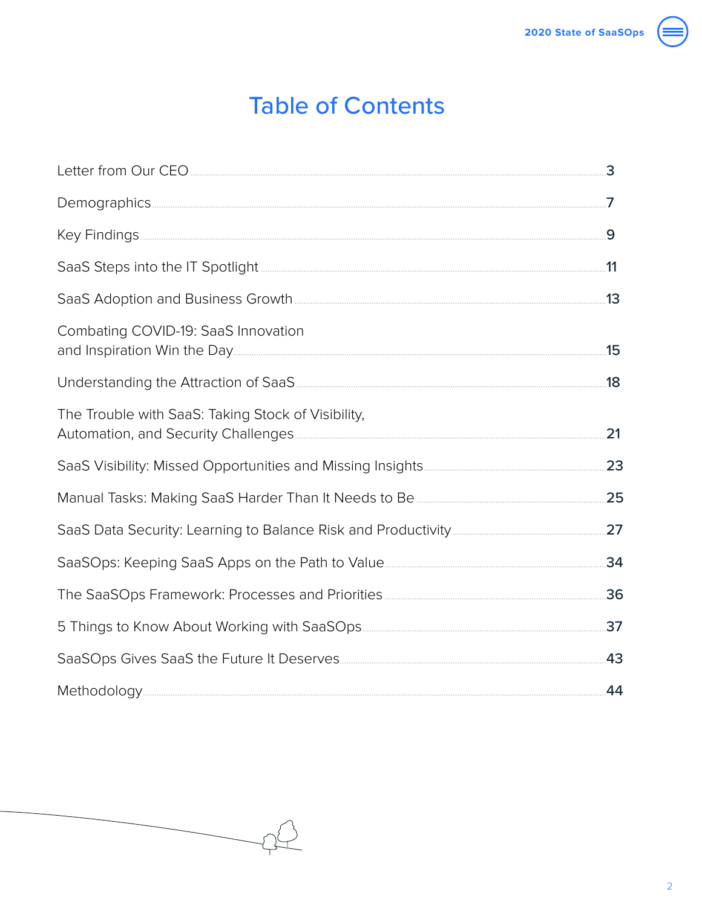# **Table of Contents**

| Combating COVID-19: SaaS Innovation                |     |
|----------------------------------------------------|-----|
|                                                    |     |
| The Trouble with SaaS: Taking Stock of Visibility, | 21  |
|                                                    |     |
|                                                    |     |
|                                                    |     |
|                                                    | 34  |
|                                                    |     |
|                                                    | .37 |
|                                                    | .43 |
|                                                    | .44 |

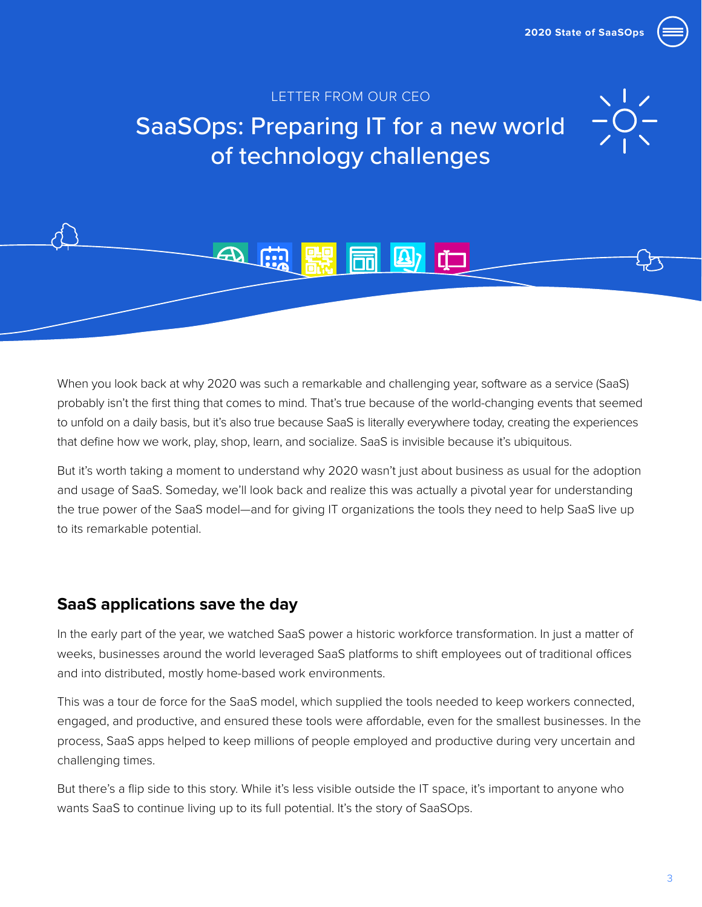### LETTER FROM OUR CEO

# <span id="page-2-0"></span>SaaSOps: Preparing IT for a new world of technology challenges

 $\boxed{\text{2}}$  in

When you look back at why 2020 was such a remarkable and challenging year, software as a service (SaaS) probably isn't the first thing that comes to mind. That's true because of the world-changing events that seemed to unfold on a daily basis, but it's also true because SaaS is literally everywhere today, creating the experiences that define how we work, play, shop, learn, and socialize. SaaS is invisible because it's ubiquitous.

But it's worth taking a moment to understand why 2020 wasn't just about business as usual for the adoption and usage of SaaS. Someday, we'll look back and realize this was actually a pivotal year for understanding the true power of the SaaS model—and for giving IT organizations the tools they need to help SaaS live up to its remarkable potential.

### **SaaS applications save the day**

In the early part of the year, we watched SaaS power a historic workforce transformation. In just a matter of weeks, businesses around the world leveraged SaaS platforms to shift employees out of traditional offices and into distributed, mostly home-based work environments.

This was a tour de force for the SaaS model, which supplied the tools needed to keep workers connected, engaged, and productive, and ensured these tools were affordable, even for the smallest businesses. In the process, SaaS apps helped to keep millions of people employed and productive during very uncertain and challenging times.

But there's a flip side to this story. While it's less visible outside the IT space, it's important to anyone who wants SaaS to continue living up to its full potential. It's the story of SaaSOps.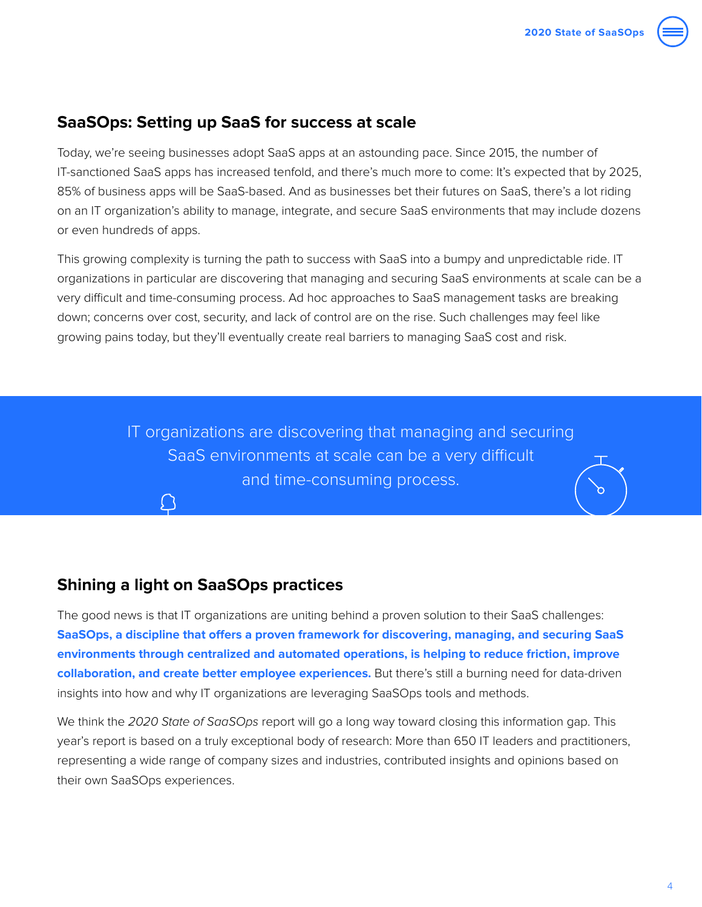

Today, we're seeing businesses adopt SaaS apps at an astounding pace. Since 2015, the number of IT-sanctioned SaaS apps has increased tenfold, and there's much more to come: It's expected that by 2025, 85% of business apps will be SaaS-based. And as businesses bet their futures on SaaS, there's a lot riding on an IT organization's ability to manage, integrate, and secure SaaS environments that may include dozens or even hundreds of apps.

This growing complexity is turning the path to success with SaaS into a bumpy and unpredictable ride. IT organizations in particular are discovering that managing and securing SaaS environments at scale can be a very difficult and time-consuming process. Ad hoc approaches to SaaS management tasks are breaking down; concerns over cost, security, and lack of control are on the rise. Such challenges may feel like growing pains today, but they'll eventually create real barriers to managing SaaS cost and risk.

> IT organizations are discovering that managing and securing SaaS environments at scale can be a very difficult and time-consuming process.

### **Shining a light on SaaSOps practices**

The good news is that IT organizations are uniting behind a proven solution to their SaaS challenges: **SaaSOps, a discipline that offers a proven framework for discovering, managing, and securing SaaS environments through centralized and automated operations, is helping to reduce friction, improve collaboration, and create better employee experiences.** But there's still a burning need for data-driven insights into how and why IT organizations are leveraging SaaSOps tools and methods.

We think the *2020 State of SaaSOps* report will go a long way toward closing this information gap. This year's report is based on a truly exceptional body of research: More than 650 IT leaders and practitioners, representing a wide range of company sizes and industries, contributed insights and opinions based on their own SaaSOps experiences.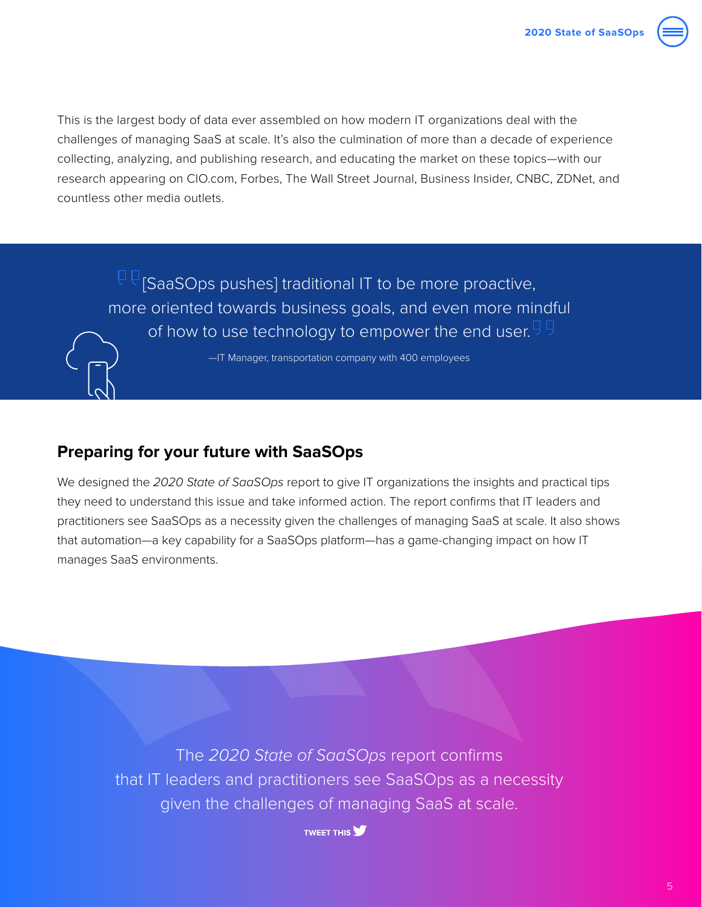

This is the largest body of data ever assembled on how modern IT organizations deal with the challenges of managing SaaS at scale. It's also the culmination of more than a decade of experience collecting, analyzing, and publishing research, and educating the market on these topics—with our research appearing on CIO.com, Forbes, The Wall Street Journal, Business Insider, CNBC, ZDNet, and countless other media outlets.

 $\mathbb{P} \mathbb{P}$  [SaaSOps pushes] traditional IT to be more proactive, more oriented towards business goals, and even more mindful of how to use technology to empower the end user.  $99$ 

—IT Manager, transportation company with 400 employees

### **Preparing for your future with SaaSOps**

We designed the *2020 State of SaaSOps* report to give IT organizations the insights and practical tips they need to understand this issue and take informed action. The report confirms that IT leaders and practitioners see SaaSOps as a necessity given the challenges of managing SaaS at scale. It also shows that automation—a key capability for a SaaSOps platform—has a game-changing impact on how IT manages SaaS environments.

The *2020 State of SaaSOps* report confirms that IT leaders and practitioners see SaaSOps as a necessity given the challenges of managing SaaS at scale.

**TWEET THIS**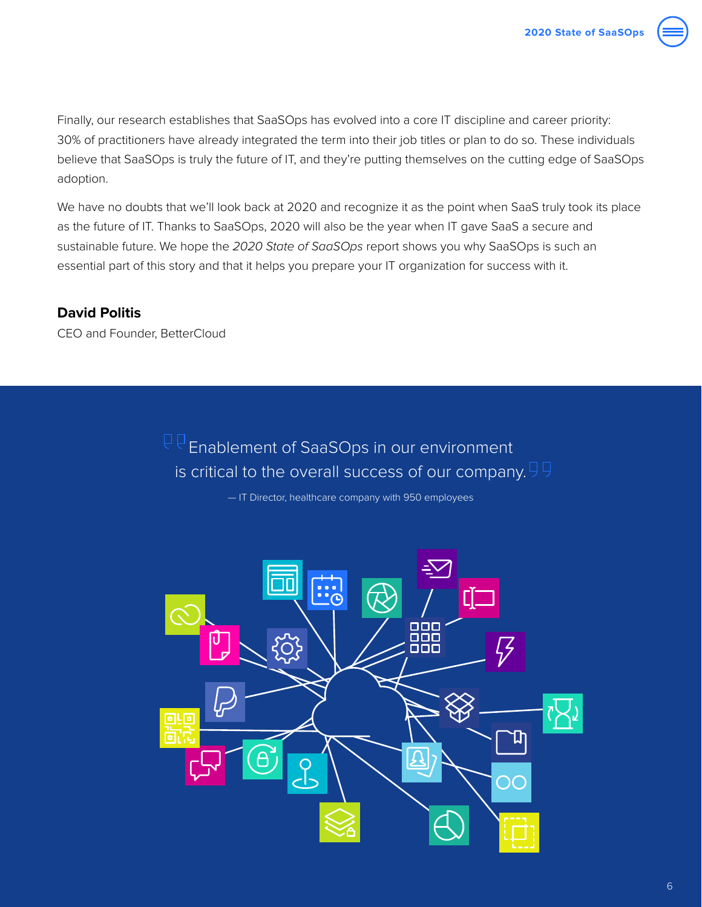

Finally, our research establishes that SaaSOps has evolved into a core IT discipline and career priority: 30% of practitioners have already integrated the term into their job titles or plan to do so. These individuals believe that SaaSOps is truly the future of IT, and they're putting themselves on the cutting edge of SaaSOps adoption.

We have no doubts that we'll look back at 2020 and recognize it as the point when SaaS truly took its place as the future of IT. Thanks to SaaSOps, 2020 will also be the year when IT gave SaaS a secure and sustainable future. We hope the *2020 State of SaaSOps* report shows you why SaaSOps is such an essential part of this story and that it helps you prepare your IT organization for success with it.

### **David Politis**

CEO and Founder, BetterCloud

 $\overline{\mathbb{P}}\overline{\mathbb{P}}$  Enablement of SaaSOps in our environment is critical to the overall success of our company.  $99$ 

— IT Director, healthcare company with 950 employees

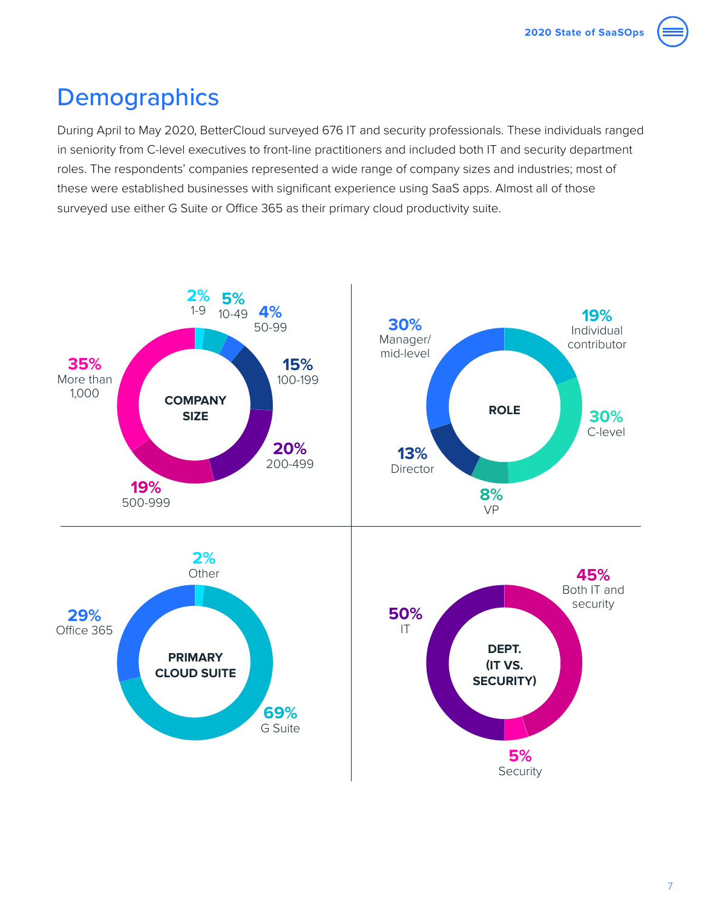# <span id="page-6-0"></span>**Demographics**

During April to May 2020, BetterCloud surveyed 676 IT and security professionals. These individuals ranged in seniority from C-level executives to front-line practitioners and included both IT and security department roles. The respondents' companies represented a wide range of company sizes and industries; most of these were established businesses with significant experience using SaaS apps. Almost all of those surveyed use either G Suite or Office 365 as their primary cloud productivity suite.

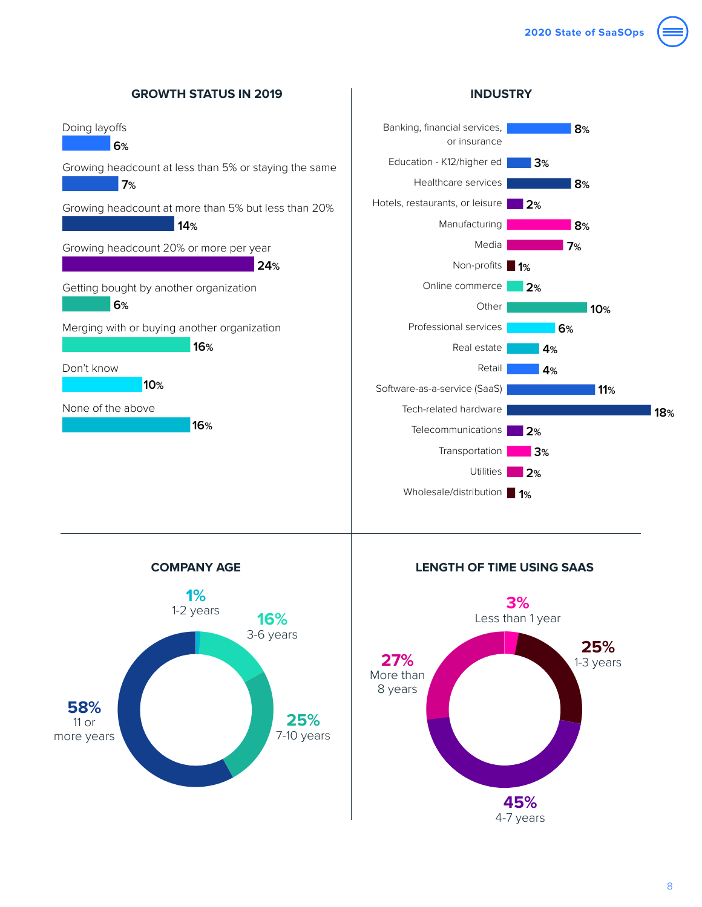

**1%** 1-2 years

**COMPANY AGE**

11 or



**LENGTH OF TIME USING SAAS**

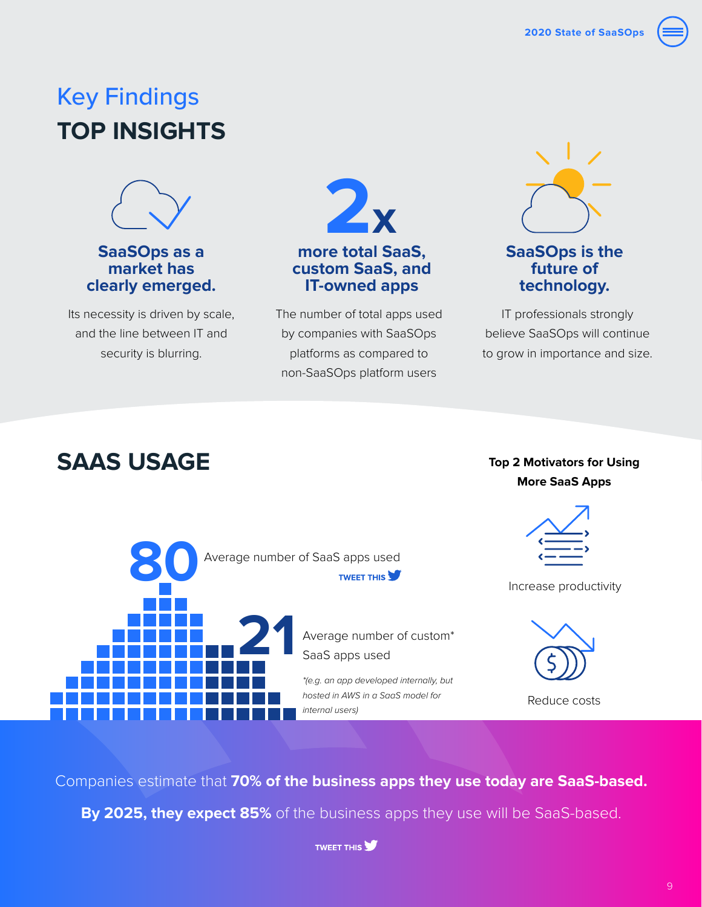# <span id="page-8-0"></span>Key Findings **TOP INSIGHTS**



**SaaSOps as a market has clearly emerged.**

Its necessity is driven by scale, and the line between IT and security is blurring.



The number of total apps used by companies with SaaSOps platforms as compared to non-SaaSOps platform users



### **SaaSOps is the future of technology.**

IT professionals strongly believe SaaSOps will continue to grow in importance and size.

# **SAAS USAGE Top 2 Motivators for Using**

# **More SaaS Apps**



Companies estimate that **70% of the business apps they use today are SaaS-based.**

**By 2025, they expect 85%** of the business apps they use will be SaaS-based.

**TWEET THIS**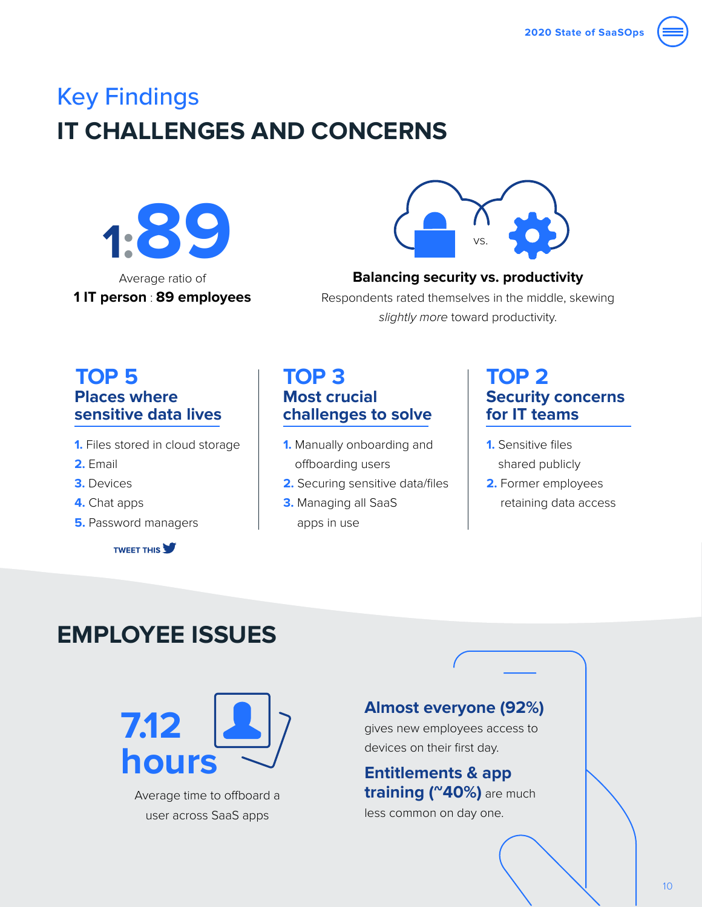# Key Findings **IT CHALLENGES AND CONCERNS**





### **Balancing security vs. productivity**

Respondents rated themselves in the middle, skewing *slightly more* toward productivity.

### **TOP 5 TOP 3 TOP 2 Places where sensitive data lives**

- **1.** Files stored in cloud storage
- **2.** Email
- **3.** Devices
- **4.** Chat apps
- **5.** Password managers

**TWEET THIS** 

# **Most crucial challenges to solve**

- **1.** Manually onboarding and offboarding users
- **2.** Securing sensitive data/files
- **3.** Managing all SaaS apps in use

# **Security concerns for IT teams**

- **1.** Sensitive files shared publicly
- **2.** Former employees retaining data access

# **EMPLOYEE ISSUES**



Average time to offboard a user across SaaS apps

### **Almost everyone (92%)**

gives new employees access to devices on their first day.

**Entitlements & app training (~40%)** are much

less common on day one.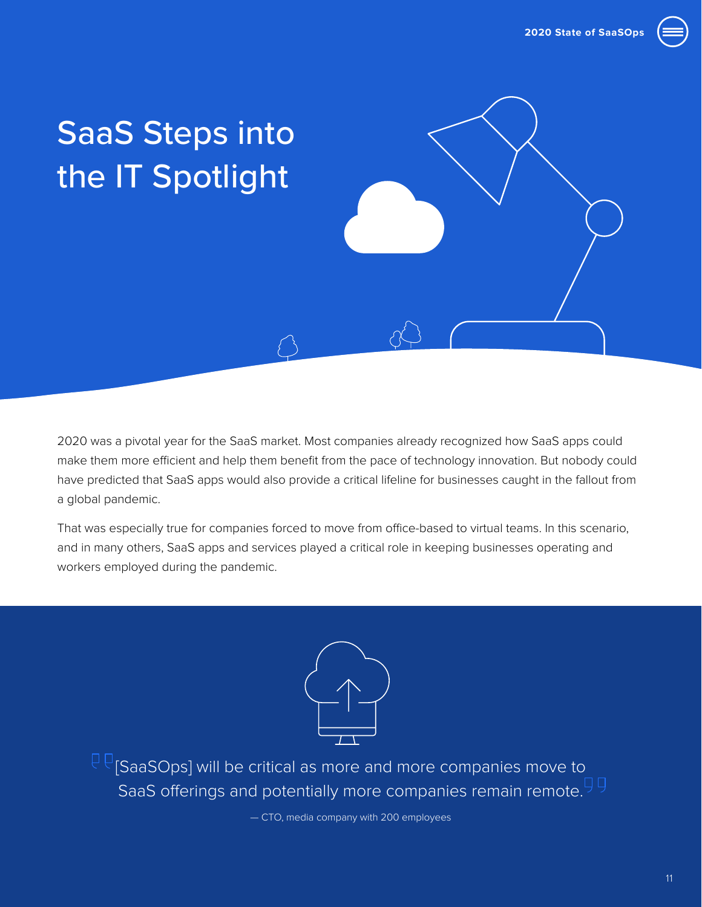

# <span id="page-10-0"></span>SaaS Steps into the IT Spotlight

2020 was a pivotal year for the SaaS market. Most companies already recognized how SaaS apps could make them more efficient and help them benefit from the pace of technology innovation. But nobody could have predicted that SaaS apps would also provide a critical lifeline for businesses caught in the fallout from a global pandemic.

That was especially true for companies forced to move from office-based to virtual teams. In this scenario, and in many others, SaaS apps and services played a critical role in keeping businesses operating and workers employed during the pandemic.



 $\overline{\overline{C}}$ [SaaSOps] will be critical as more and more companies move to SaaS offerings and potentially more companies remain remote.<sup>99</sup>

— CTO, media company with 200 employees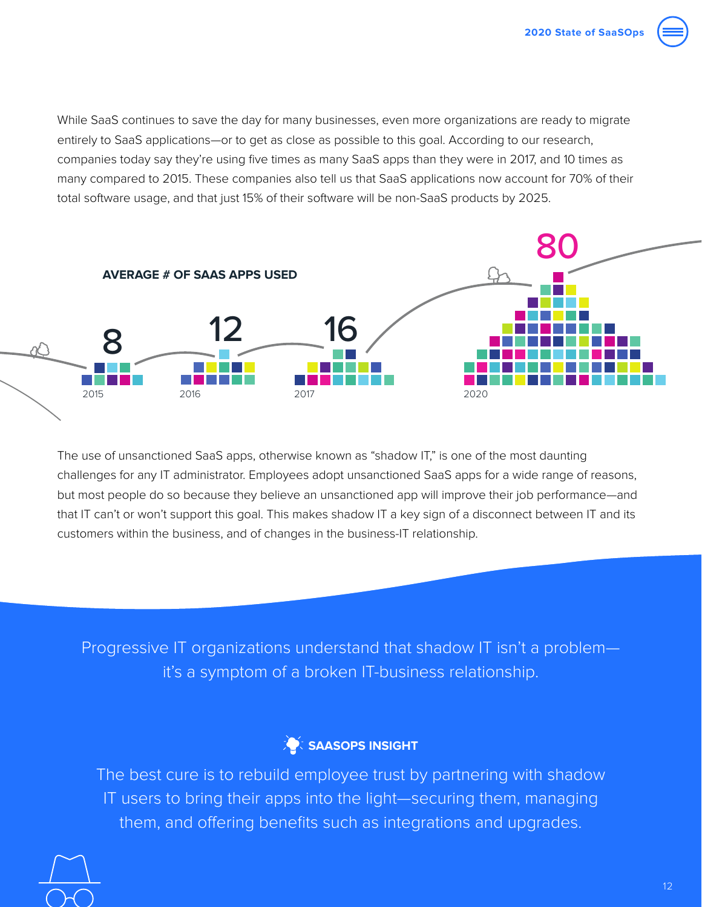

While SaaS continues to save the day for many businesses, even more organizations are ready to migrate entirely to SaaS applications—or to get as close as possible to this goal. According to our research, companies today say they're using five times as many SaaS apps than they were in 2017, and 10 times as many compared to 2015. These companies also tell us that SaaS applications now account for 70% of their total software usage, and that just 15% of their software will be non-SaaS products by 2025.



The use of unsanctioned SaaS apps, otherwise known as "shadow IT," is one of the most daunting challenges for any IT administrator. Employees adopt unsanctioned SaaS apps for a wide range of reasons, but most people do so because they believe an unsanctioned app will improve their job performance—and that IT can't or won't support this goal. This makes shadow IT a key sign of a disconnect between IT and its customers within the business, and of changes in the business-IT relationship.

Progressive IT organizations understand that shadow IT isn't a problem it's a symptom of a broken IT-business relationship.



The best cure is to rebuild employee trust by partnering with shadow IT users to bring their apps into the light—securing them, managing them, and offering benefits such as integrations and upgrades.

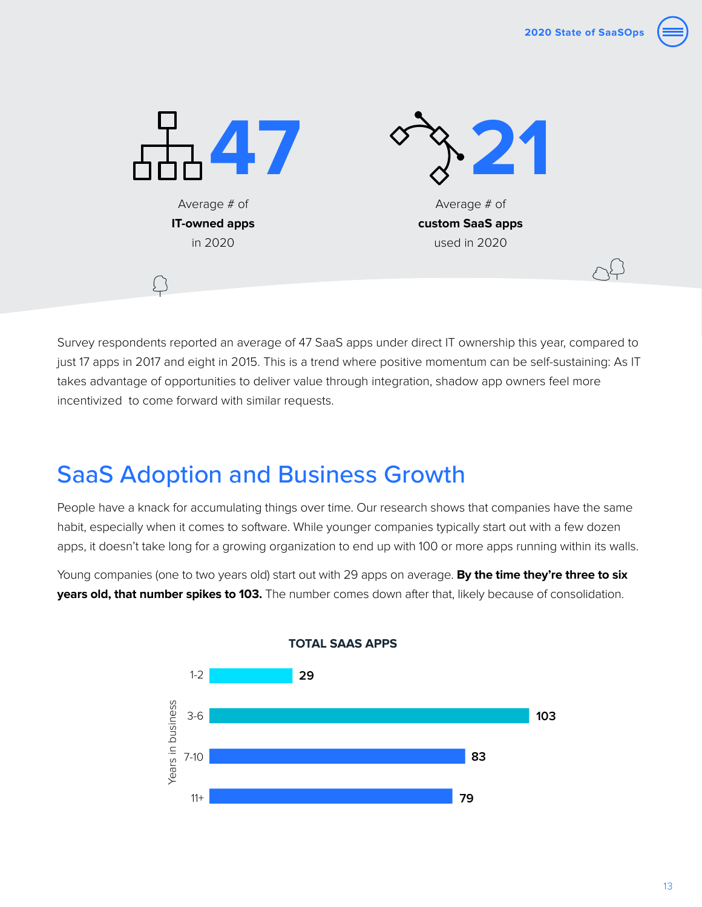<span id="page-12-0"></span>

Survey respondents reported an average of 47 SaaS apps under direct IT ownership this year, compared to just 17 apps in 2017 and eight in 2015. This is a trend where positive momentum can be self-sustaining: As IT takes advantage of opportunities to deliver value through integration, shadow app owners feel more incentivized to come forward with similar requests.

# SaaS Adoption and Business Growth

People have a knack for accumulating things over time. Our research shows that companies have the same habit, especially when it comes to software. While younger companies typically start out with a few dozen apps, it doesn't take long for a growing organization to end up with 100 or more apps running within its walls.

Young companies (one to two years old) start out with 29 apps on average. **By the time they're three to six years old, that number spikes to 103.** The number comes down after that, likely because of consolidation.

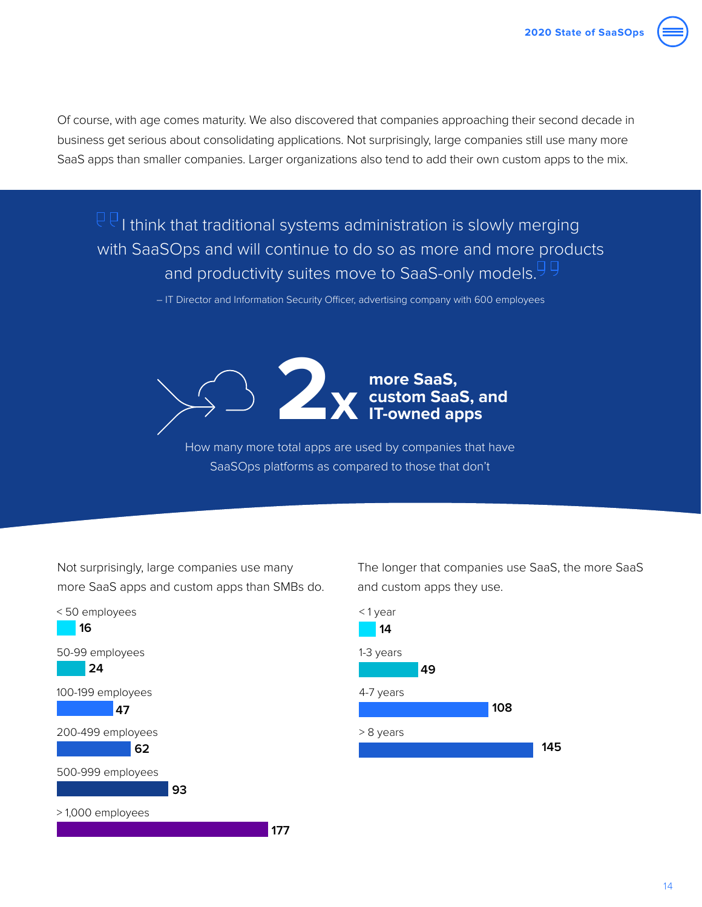Of course, with age comes maturity. We also discovered that companies approaching their second decade in business get serious about consolidating applications. Not surprisingly, large companies still use many more SaaS apps than smaller companies. Larger organizations also tend to add their own custom apps to the mix.

 $\overline{\mathbb{P}\mathbb{P}}$  i think that traditional systems administration is slowly merging with SaaSOps and will continue to do so as more and more products and productivity suites move to SaaS-only models.<sup>99</sup>

– IT Director and Information Security Officer, advertising company with 600 employees



How many more total apps are used by companies that have SaaSOps platforms as compared to those that don't

Not surprisingly, large companies use many more SaaS apps and custom apps than SMBs do.



The longer that companies use SaaS, the more SaaS and custom apps they use.

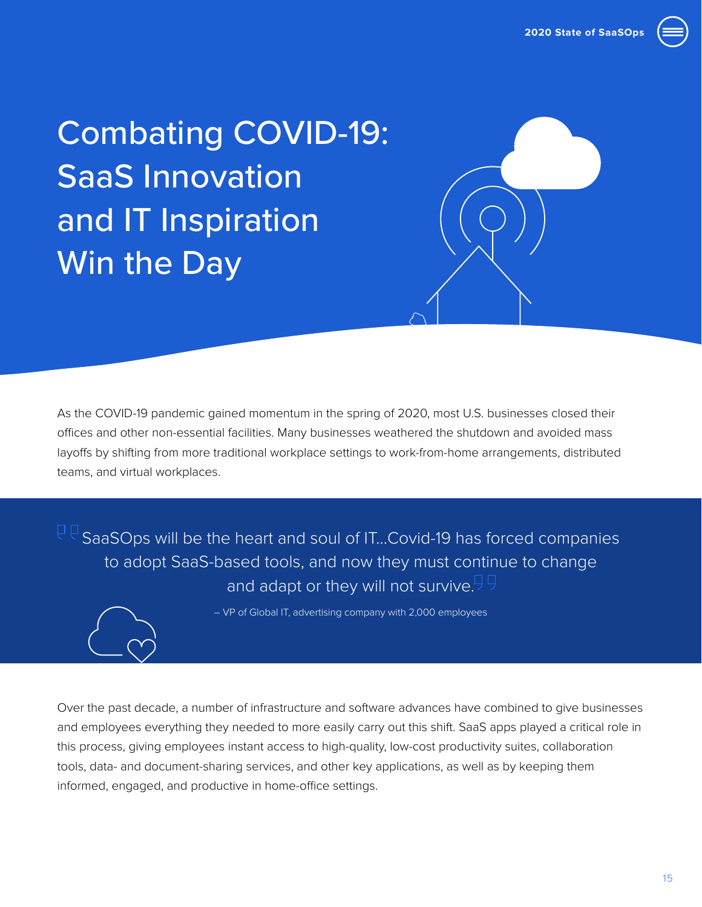

<span id="page-14-0"></span>Combating COVID-19: SaaS Innovation and IT Inspiration Win the Day

As the COVID-19 pandemic gained momentum in the spring of 2020, most U.S. businesses closed their offices and other non-essential facilities. Many businesses weathered the shutdown and avoided mass layoffs by shifting from more traditional workplace settings to work-from-home arrangements, distributed teams, and virtual workplaces.

 $\mathbb{P}^{\mathbb{C}}$  SaaSOps will be the heart and soul of IT...Covid-19 has forced companies to adopt SaaS-based tools, and now they must continue to change and adapt or they will not survive.<sup>99</sup>



– VP of Global IT, advertising company with 2,000 employees

Over the past decade, a number of infrastructure and software advances have combined to give businesses and employees everything they needed to more easily carry out this shift. SaaS apps played a critical role in this process, giving employees instant access to high-quality, low-cost productivity suites, collaboration tools, data- and document-sharing services, and other key applications, as well as by keeping them informed, engaged, and productive in home-office settings.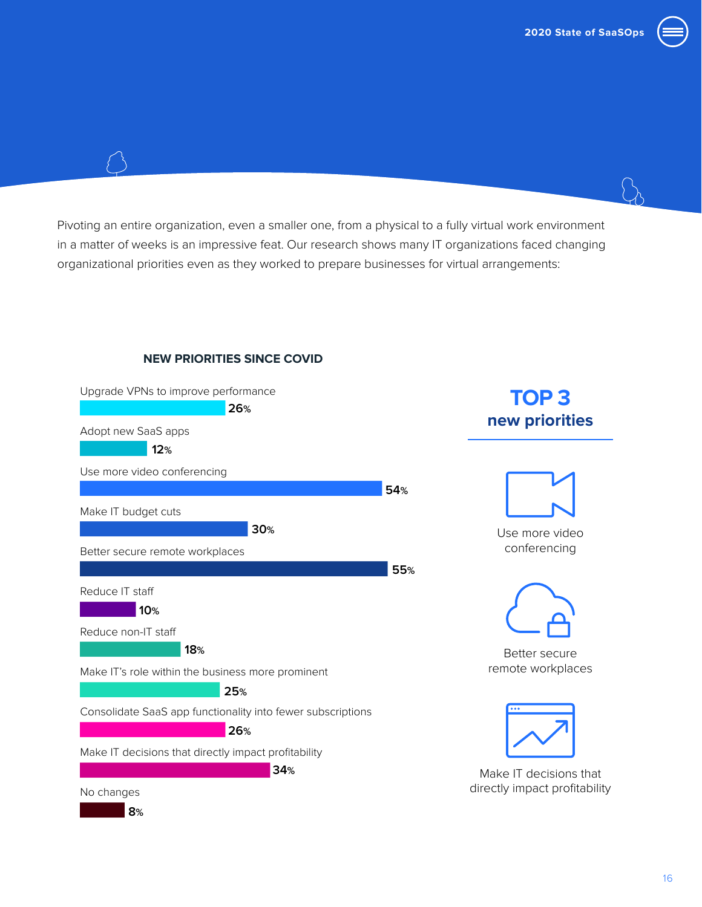

Pivoting an entire organization, even a smaller one, from a physical to a fully virtual work environment in a matter of weeks is an impressive feat. Our research shows many IT organizations faced changing organizational priorities even as they worked to prepare businesses for virtual arrangements:

### **NEW PRIORITIES SINCE COVID**

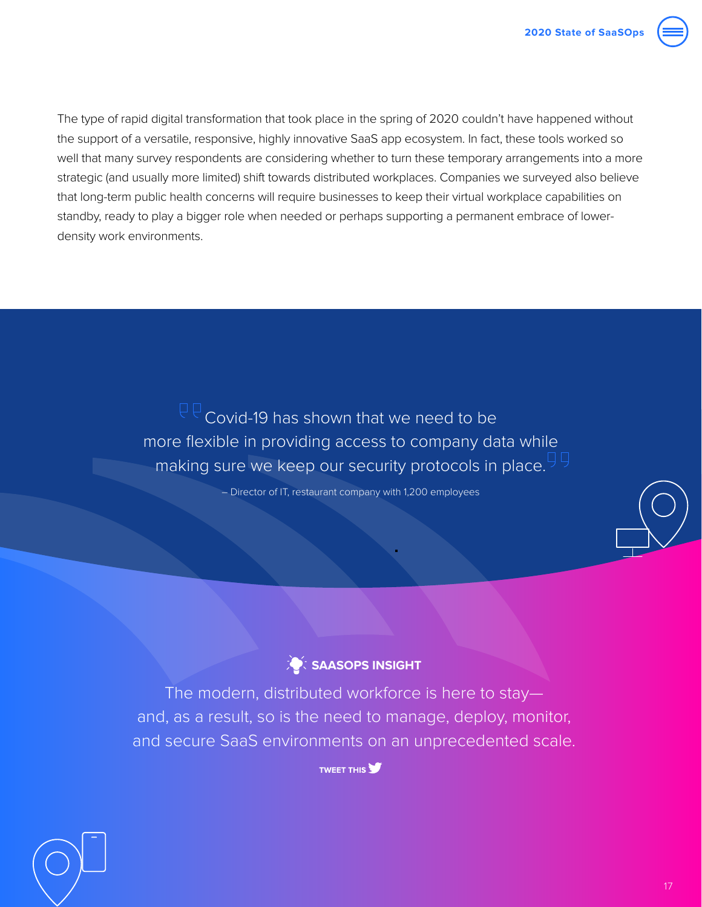

The type of rapid digital transformation that took place in the spring of 2020 couldn't have happened without the support of a versatile, responsive, highly innovative SaaS app ecosystem. In fact, these tools worked so well that many survey respondents are considering whether to turn these temporary arrangements into a more strategic (and usually more limited) shift towards distributed workplaces. Companies we surveyed also believe that long-term public health concerns will require businesses to keep their virtual workplace capabilities on standby, ready to play a bigger role when needed or perhaps supporting a permanent embrace of lowerdensity work environments.

> $\overline{CP}$  Covid-19 has shown that we need to be more flexible in providing access to company data while making sure we keep our security protocols in place. <sup>HH</sup>

> > – Director of IT, restaurant company with 1,200 employees



The modern, distributed workforce is here to stay and, as a result, so is the need to manage, deploy, monitor, and secure SaaS environments on an unprecedented scale.

**TWEET THIS**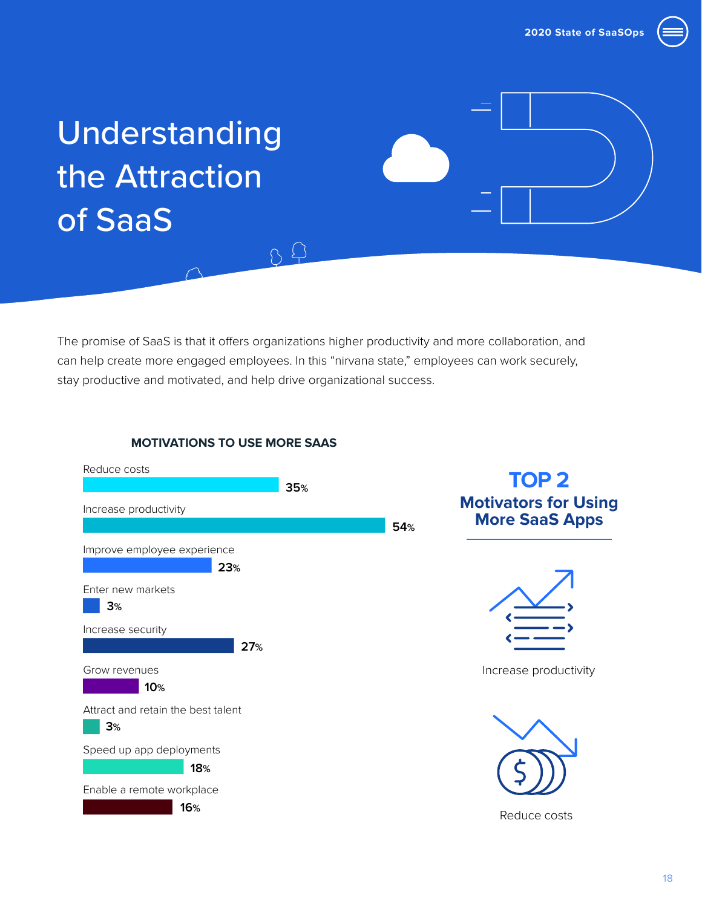

# <span id="page-17-0"></span>Understanding the Attraction of SaaS

The promise of SaaS is that it offers organizations higher productivity and more collaboration, and can help create more engaged employees. In this "nirvana state," employees can work securely, stay productive and motivated, and help drive organizational success.

 $09$ 





## **TOP 2 Motivators for Using More SaaS Apps**



Increase productivity



Reduce costs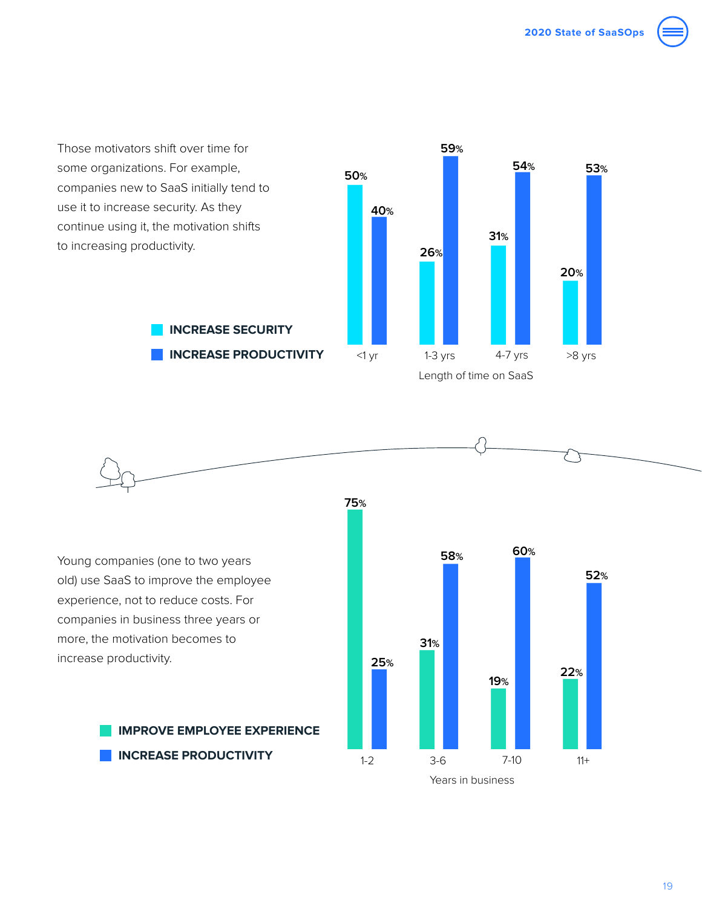

Those motivators shift over time for some organizations. For example, companies new to SaaS initially tend to use it to increase security. As they continue using it, the motivation shifts to increasing productivity.

**INCREASE SECURITY**

**INCREASE PRODUCTIVITY**





Young companies (one to two years old) use SaaS to improve the employee experience, not to reduce costs. For companies in business three years or more, the motivation becomes to increase productivity.

> **IMPROVE EMPLOYEE EXPERIENCE INCREASE PRODUCTIVITY**

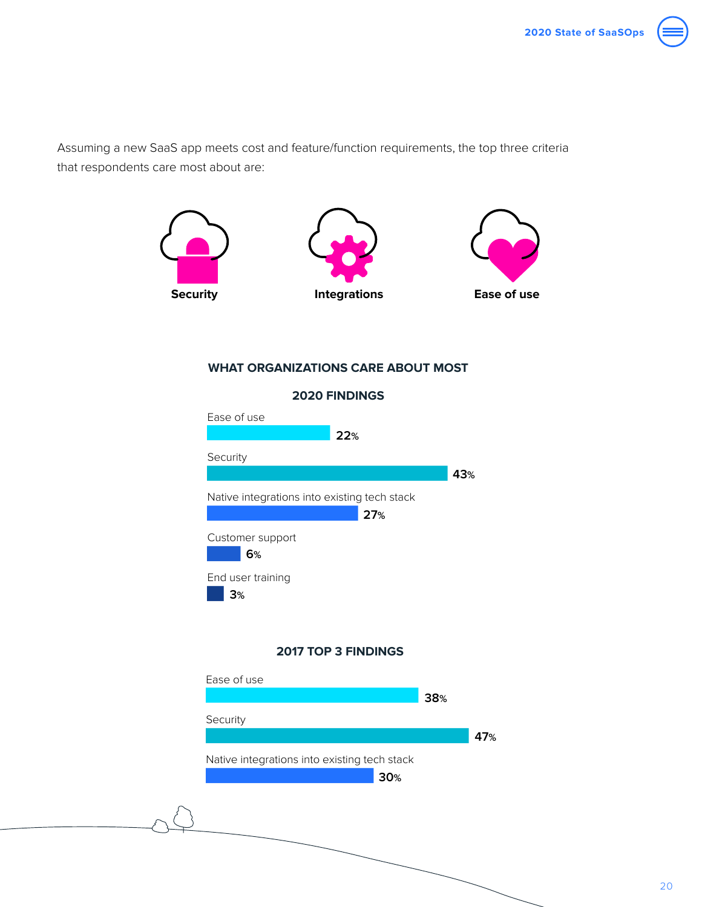

Assuming a new SaaS app meets cost and feature/function requirements, the top three criteria that respondents care most about are:



### **WHAT ORGANIZATIONS CARE ABOUT MOST**

### Ease of use<br>22 November 2014 Security Native integrations into existing tech stack<br>27% Customer support<br>
6% End user training<br>**3%** Security<br>The Contract of Contract of Contract of Contract of Contract of Contract of Contract of Contract of Contract o **22% 43% 27% 6% 3% 2020 FINDINGS**



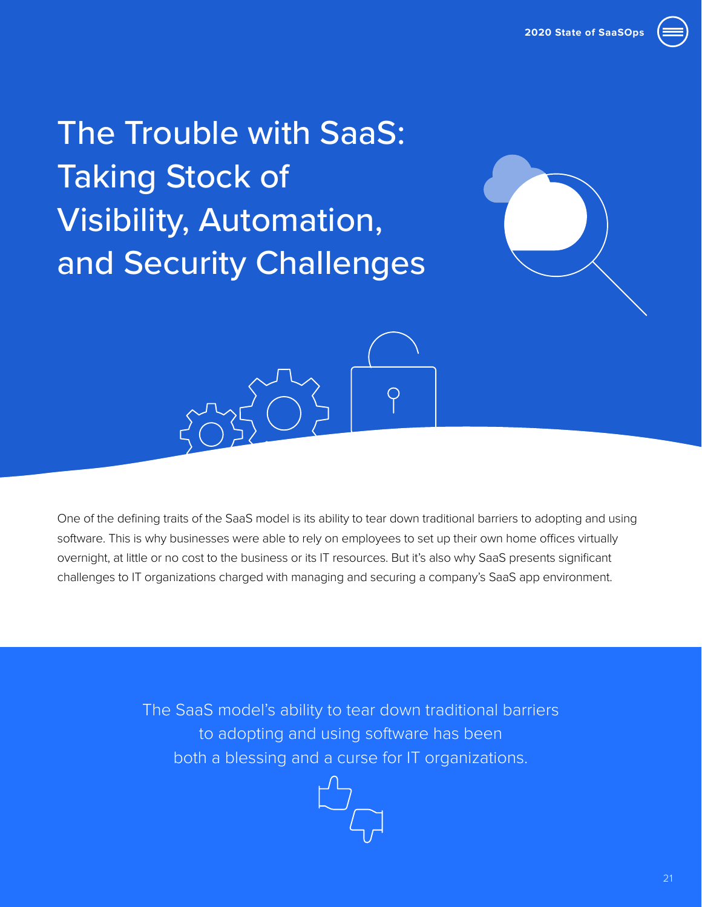<span id="page-20-0"></span>The Trouble with SaaS: Taking Stock of Visibility, Automation, and Security Challenges





One of the defining traits of the SaaS model is its ability to tear down traditional barriers to adopting and using software. This is why businesses were able to rely on employees to set up their own home offices virtually overnight, at little or no cost to the business or its IT resources. But it's also why SaaS presents significant challenges to IT organizations charged with managing and securing a company's SaaS app environment.

> The SaaS model's ability to tear down traditional barriers to adopting and using software has been both a blessing and a curse for IT organizations.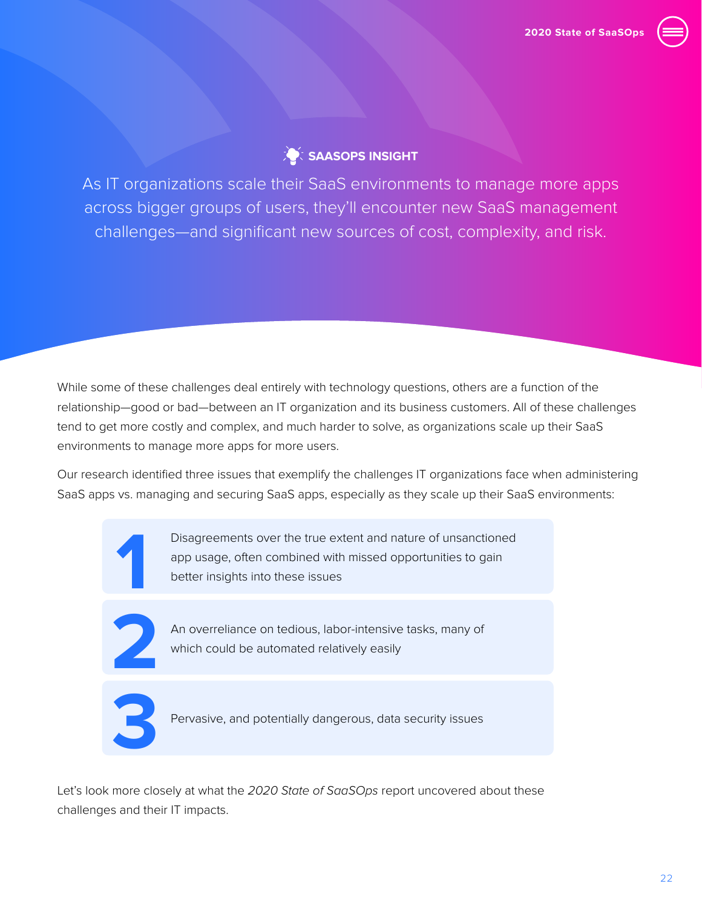

### **SAASOPS INSIGHT**

As IT organizations scale their SaaS environments to manage more apps across bigger groups of users, they'll encounter new SaaS management challenges—and significant new sources of cost, complexity, and risk.

While some of these challenges deal entirely with technology questions, others are a function of the relationship—good or bad—between an IT organization and its business customers. All of these challenges tend to get more costly and complex, and much harder to solve, as organizations scale up their SaaS environments to manage more apps for more users.

Our research identified three issues that exemplify the challenges IT organizations face when administering SaaS apps vs. managing and securing SaaS apps, especially as they scale up their SaaS environments:



Disagreements over the true extent and nature of unsanctioned app usage, often combined with missed opportunities to gain better insights into these issues



An overreliance on tedious, labor-intensive tasks, many of which could be automated relatively easily



Pervasive, and potentially dangerous, data security issues

Let's look more closely at what the *2020 State of SaaSOps* report uncovered about these challenges and their IT impacts.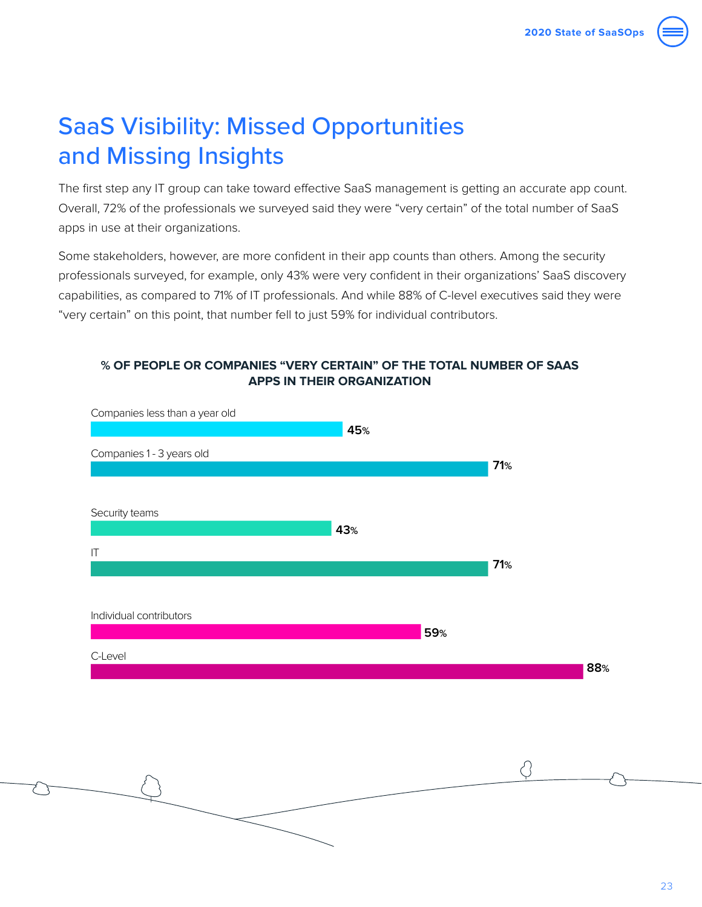# <span id="page-22-0"></span>SaaS Visibility: Missed Opportunities and Missing Insights

The first step any IT group can take toward effective SaaS management is getting an accurate app count. Overall, 72% of the professionals we surveyed said they were "very certain" of the total number of SaaS apps in use at their organizations.

Some stakeholders, however, are more confident in their app counts than others. Among the security professionals surveyed, for example, only 43% were very confident in their organizations' SaaS discovery capabilities, as compared to 71% of IT professionals. And while 88% of C-level executives said they were "very certain" on this point, that number fell to just 59% for individual contributors.

### **% OF PEOPLE OR COMPANIES "VERY CERTAIN" OF THE TOTAL NUMBER OF SAAS APPS IN THEIR ORGANIZATION**



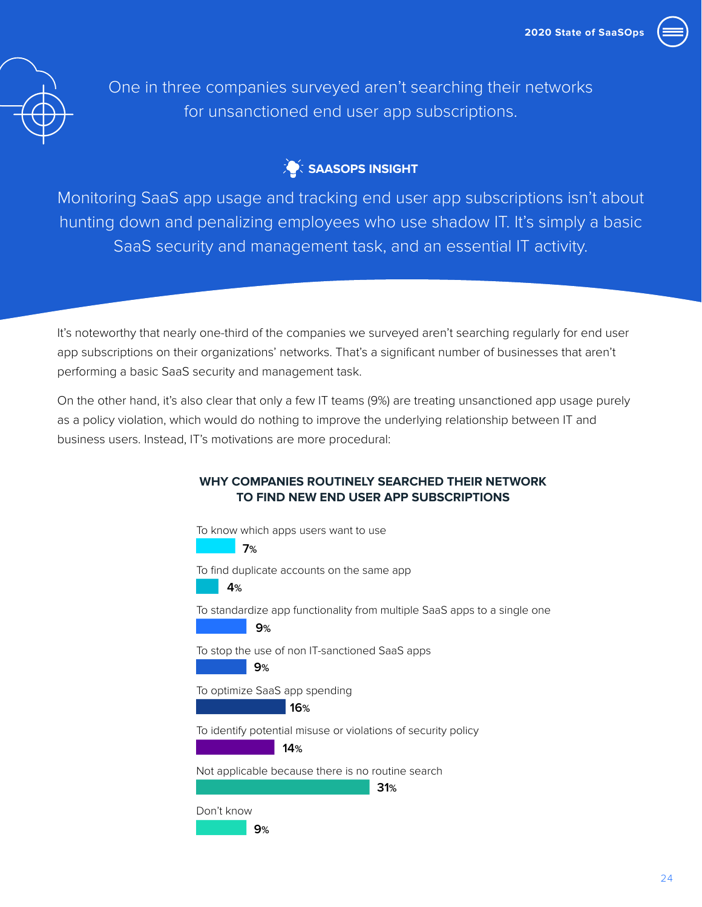



One in three companies surveyed aren't searching their networks for unsanctioned end user app subscriptions.

### **SAASOPS INSIGHT**

Monitoring SaaS app usage and tracking end user app subscriptions isn't about hunting down and penalizing employees who use shadow IT. It's simply a basic SaaS security and management task, and an essential IT activity.

It's noteworthy that nearly one-third of the companies we surveyed aren't searching regularly for end user app subscriptions on their organizations' networks. That's a significant number of businesses that aren't performing a basic SaaS security and management task.

On the other hand, it's also clear that only a few IT teams (9%) are treating unsanctioned app usage purely as a policy violation, which would do nothing to improve the underlying relationship between IT and business users. Instead, IT's motivations are more procedural:

### To know which apps users want to use<br>**7%** To find duplicate accounts on the same app<br>**4%** 4% To standardize app functionality from multiple SaaS apps to a single one<br>**2008 - To be a** 9% To stop the use of non IT-sanctioned SaaS apps<br>**9%** To optimize SaaS app spending<br>16% To identify potential misuse or violations of security policy<br>**14%** Not applicable because there is no routine search<br> **31%** Don't know<br>|<br>| **7% 4% 9% 9% 16% 14% 31% 9% WHY COMPANIES ROUTINELY SEARCHED THEIR NETWORK TO FIND NEW END USER APP SUBSCRIPTIONS**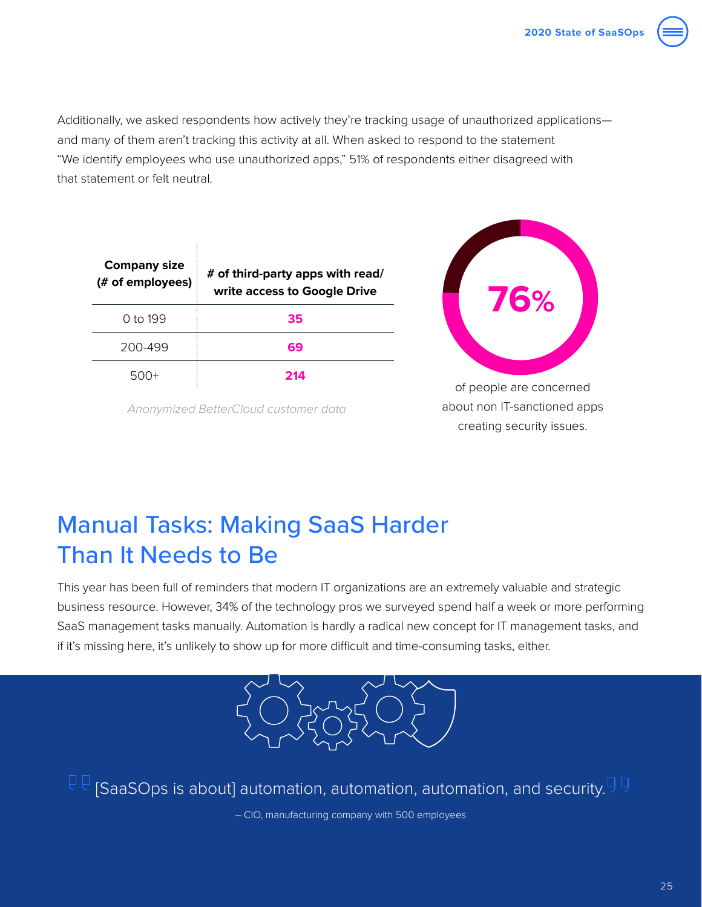<span id="page-24-0"></span>

| <b>Company size</b><br>(# of employees) | # of third-party apps with read/<br>write access to Google Drive |
|-----------------------------------------|------------------------------------------------------------------|
| 0 to 199                                | 35                                                               |
| 200-499                                 | 69                                                               |
|                                         | 214                                                              |

*Anonymized BetterCloud customer data*



of people are concerned about non IT-sanctioned apps creating security issues.

# Manual Tasks: Making SaaS Harder Than It Needs to Be

This year has been full of reminders that modern IT organizations are an extremely valuable and strategic business resource. However, 34% of the technology pros we surveyed spend half a week or more performing SaaS management tasks manually. Automation is hardly a radical new concept for IT management tasks, and if it's missing here, it's unlikely to show up for more difficult and time-consuming tasks, either.



 $\mathbb{C} \mathbb{C}$  [SaaSOps is about] automation, automation, automation, and security. $\mathbb{S} \mathbb{S}$ 

– CIO, manufacturing company with 500 employees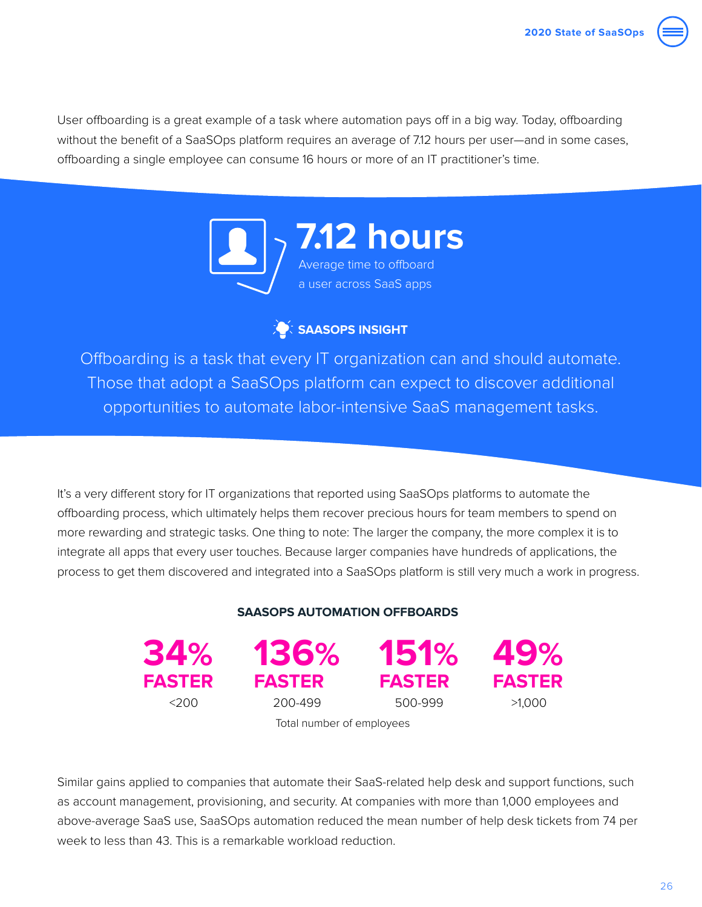User offboarding is a great example of a task where automation pays off in a big way. Today, offboarding without the benefit of a SaaSOps platform requires an average of 7.12 hours per user—and in some cases, offboarding a single employee can consume 16 hours or more of an IT practitioner's time.



### **SAASOPS INSIGHT**

Offboarding is a task that every IT organization can and should automate. Those that adopt a SaaSOps platform can expect to discover additional opportunities to automate labor-intensive SaaS management tasks.

It's a very different story for IT organizations that reported using SaaSOps platforms to automate the offboarding process, which ultimately helps them recover precious hours for team members to spend on more rewarding and strategic tasks. One thing to note: The larger the company, the more complex it is to integrate all apps that every user touches. Because larger companies have hundreds of applications, the process to get them discovered and integrated into a SaaSOps platform is still very much a work in progress.

### **SAASOPS AUTOMATION OFFBOARDS**

**FASTER**

**FASTER**

**34% 49% 136% 151% FASTER**



Total number of employees

Similar gains applied to companies that automate their SaaS-related help desk and support functions, such as account management, provisioning, and security. At companies with more than 1,000 employees and above-average SaaS use, SaaSOps automation reduced the mean number of help desk tickets from 74 per week to less than 43. This is a remarkable workload reduction.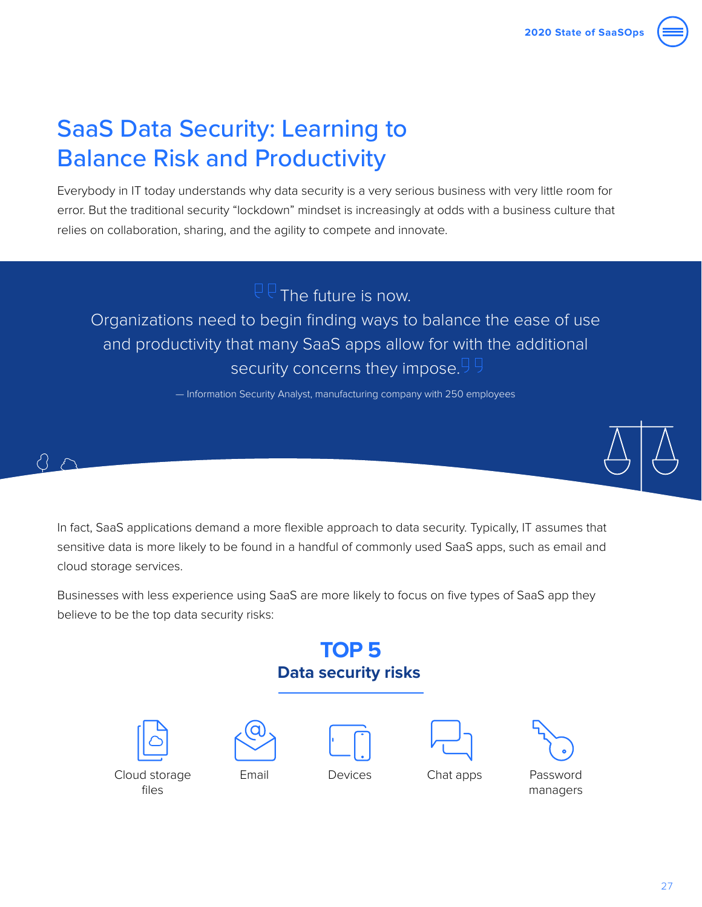# <span id="page-26-0"></span>SaaS Data Security: Learning to Balance Risk and Productivity

Everybody in IT today understands why data security is a very serious business with very little room for error. But the traditional security "lockdown" mindset is increasingly at odds with a business culture that relies on collaboration, sharing, and the agility to compete and innovate.

 $\overline{CP}$  The future is now.

Organizations need to begin finding ways to balance the ease of use and productivity that many SaaS apps allow for with the additional security concerns they impose.<sup>99</sup>

— Information Security Analyst, manufacturing company with 250 employees



In fact, SaaS applications demand a more flexible approach to data security. Typically, IT assumes that sensitive data is more likely to be found in a handful of commonly used SaaS apps, such as email and cloud storage services.

Businesses with less experience using SaaS are more likely to focus on five types of SaaS app they believe to be the top data security risks:

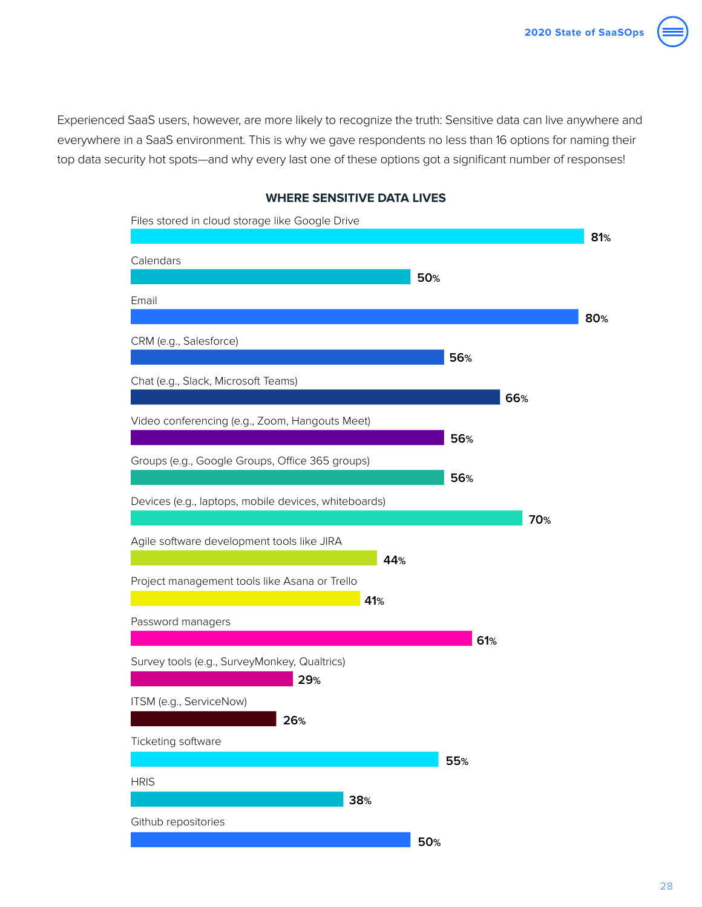Experienced SaaS users, however, are more likely to recognize the truth: Sensitive data can live anywhere and everywhere in a SaaS environment. This is why we gave respondents no less than 16 options for naming their top data security hot spots—and why every last one of these options got a significant number of responses!



### **WHERE SENSITIVE DATA LIVES**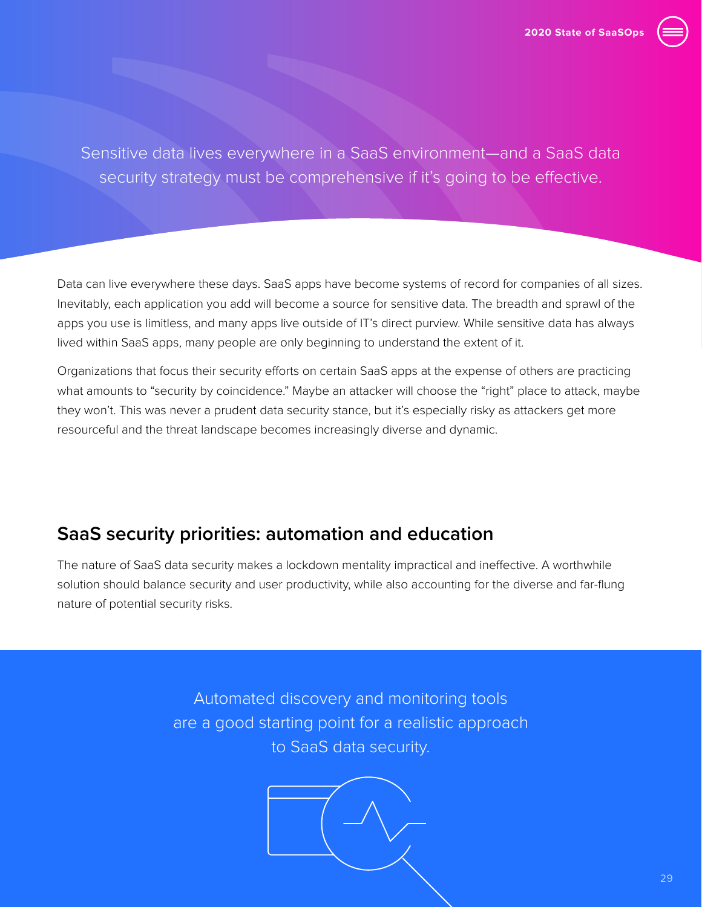

Sensitive data lives everywhere in a SaaS environment—and a SaaS data security strategy must be comprehensive if it's going to be effective.

Data can live everywhere these days. SaaS apps have become systems of record for companies of all sizes. Inevitably, each application you add will become a source for sensitive data. The breadth and sprawl of the apps you use is limitless, and many apps live outside of IT's direct purview. While sensitive data has always lived within SaaS apps, many people are only beginning to understand the extent of it.

Organizations that focus their security efforts on certain SaaS apps at the expense of others are practicing what amounts to "security by coincidence." Maybe an attacker will choose the "right" place to attack, maybe they won't. This was never a prudent data security stance, but it's especially risky as attackers get more resourceful and the threat landscape becomes increasingly diverse and dynamic.

## **SaaS security priorities: automation and education**

The nature of SaaS data security makes a lockdown mentality impractical and ineffective. A worthwhile solution should balance security and user productivity, while also accounting for the diverse and far-flung nature of potential security risks.

> Automated discovery and monitoring tools are a good starting point for a realistic approach to SaaS data security.

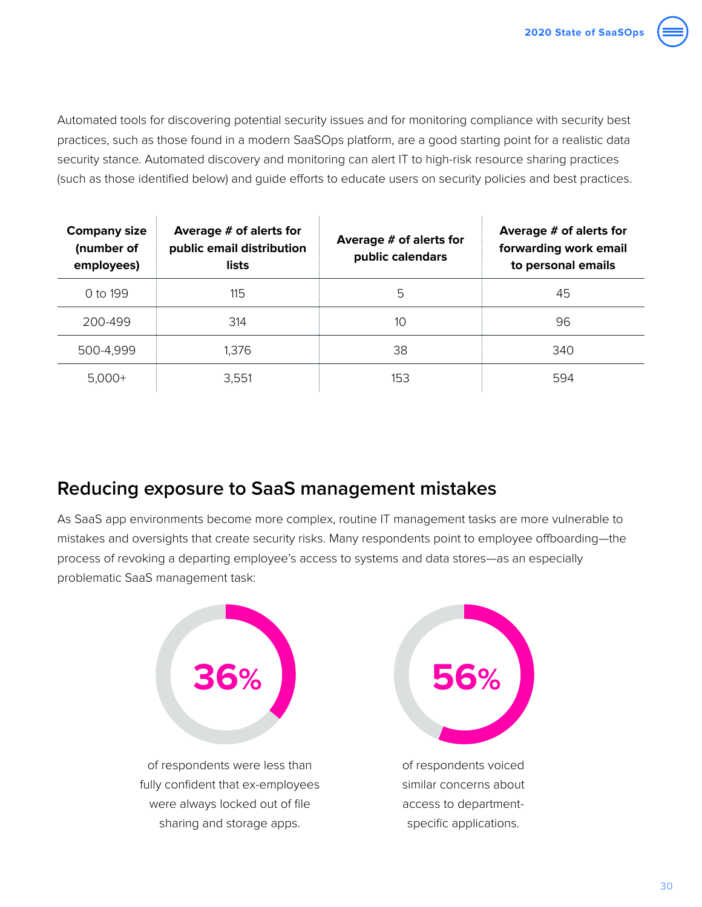

Automated tools for discovering potential security issues and for monitoring compliance with security best practices, such as those found in a modern SaaSOps platform, are a good starting point for a realistic data security stance. Automated discovery and monitoring can alert IT to high-risk resource sharing practices (such as those identified below) and guide efforts to educate users on security policies and best practices.

| <b>Company size</b><br>(number of<br>employees) | Average # of alerts for<br>public email distribution<br>lists | Average # of alerts for<br>public calendars | Average # of alerts for<br>forwarding work email<br>to personal emails |
|-------------------------------------------------|---------------------------------------------------------------|---------------------------------------------|------------------------------------------------------------------------|
| 0 to 199                                        | 115                                                           | 5                                           | 45                                                                     |
| 200-499                                         | 314                                                           | 10                                          | 96                                                                     |
| 500-4,999                                       | 1,376                                                         | 38                                          | 340                                                                    |
| $5,000+$                                        | 3,551                                                         | 153                                         | 594                                                                    |

## **Reducing exposure to SaaS management mistakes**

As SaaS app environments become more complex, routine IT management tasks are more vulnerable to mistakes and oversights that create security risks. Many respondents point to employee offboarding—the process of revoking a departing employee's access to systems and data stores—as an especially problematic SaaS management task:

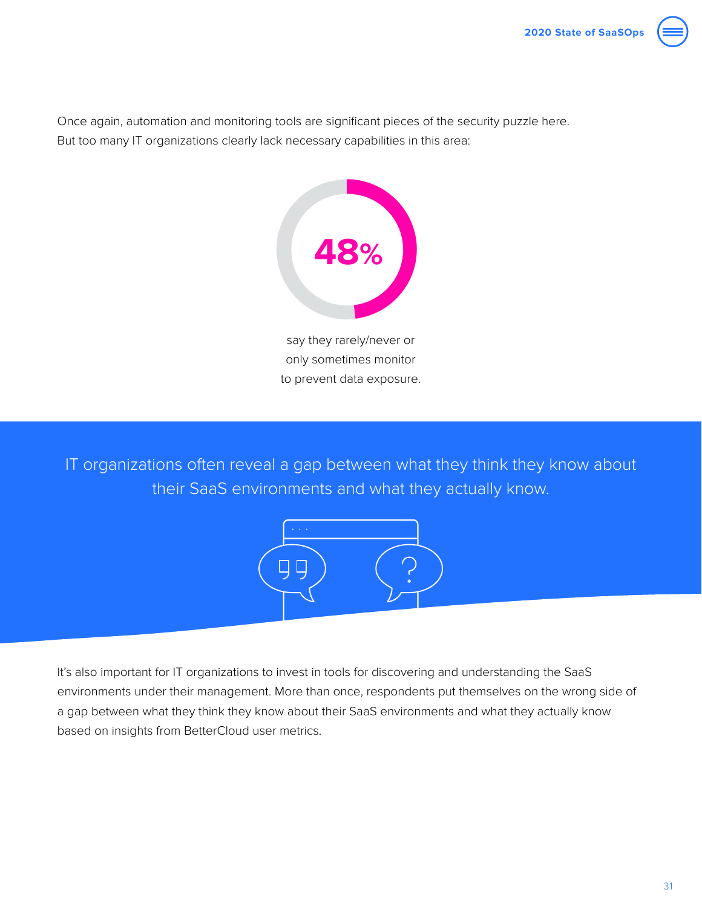

Once again, automation and monitoring tools are significant pieces of the security puzzle here. But too many IT organizations clearly lack necessary capabilities in this area:



only sometimes monitor to prevent data exposure.

IT organizations often reveal a gap between what they think they know about their SaaS environments and what they actually know.



It's also important for IT organizations to invest in tools for discovering and understanding the SaaS environments under their management. More than once, respondents put themselves on the wrong side of a gap between what they think they know about their SaaS environments and what they actually know based on insights from BetterCloud user metrics.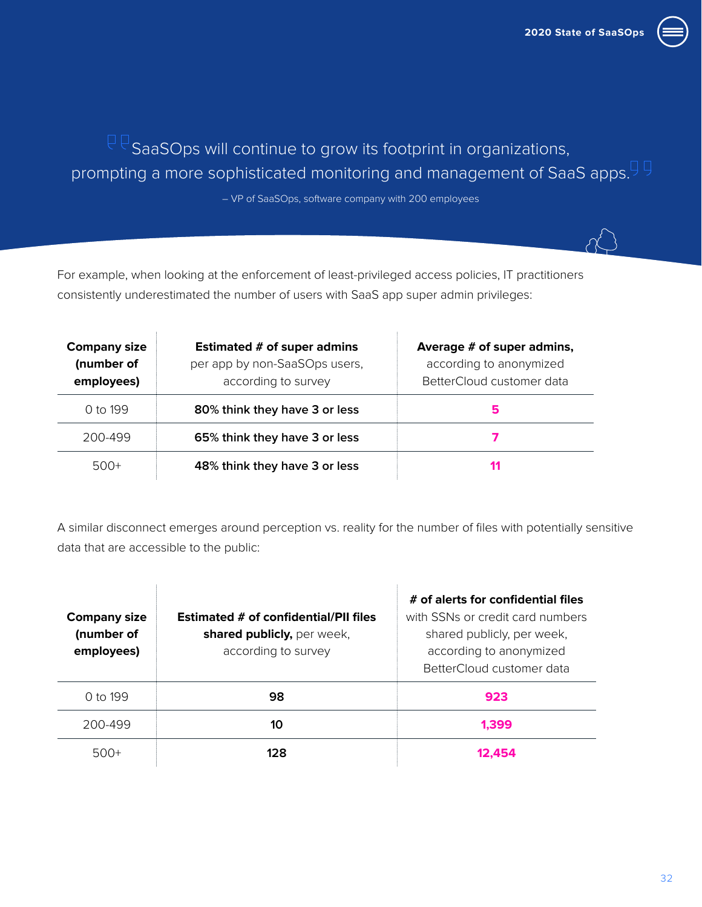

# $\mathbb{R}^{\mathbb{Q}}$  SaaSOps will continue to grow its footprint in organizations, prompting a more sophisticated monitoring and management of SaaS apps.<sup>99</sup>

– VP of SaaSOps, software company with 200 employees

For example, when looking at the enforcement of least-privileged access policies, IT practitioners consistently underestimated the number of users with SaaS app super admin privileges:

| <b>Company size</b><br>(number of<br>employees) | Estimated # of super admins<br>per app by non-SaaSOps users,<br>according to survey | Average # of super admins,<br>according to anonymized<br>BetterCloud customer data |
|-------------------------------------------------|-------------------------------------------------------------------------------------|------------------------------------------------------------------------------------|
| 0 to 199                                        | 80% think they have 3 or less                                                       | 5                                                                                  |
| 200-499                                         | 65% think they have 3 or less                                                       |                                                                                    |
| $500+$                                          | 48% think they have 3 or less                                                       |                                                                                    |

A similar disconnect emerges around perception vs. reality for the number of files with potentially sensitive data that are accessible to the public:

| <b>Company size</b><br>(number of<br>employees) | <b>Estimated # of confidential/PII files</b><br>shared publicly, per week,<br>according to survey | # of alerts for confidential files<br>with SSNs or credit card numbers<br>shared publicly, per week,<br>according to anonymized<br>BetterCloud customer data |
|-------------------------------------------------|---------------------------------------------------------------------------------------------------|--------------------------------------------------------------------------------------------------------------------------------------------------------------|
| $0 \text{ to } 199$                             | 98                                                                                                | 923                                                                                                                                                          |
| 200-499                                         | 10                                                                                                | 1.399                                                                                                                                                        |
| $500+$                                          | 128                                                                                               |                                                                                                                                                              |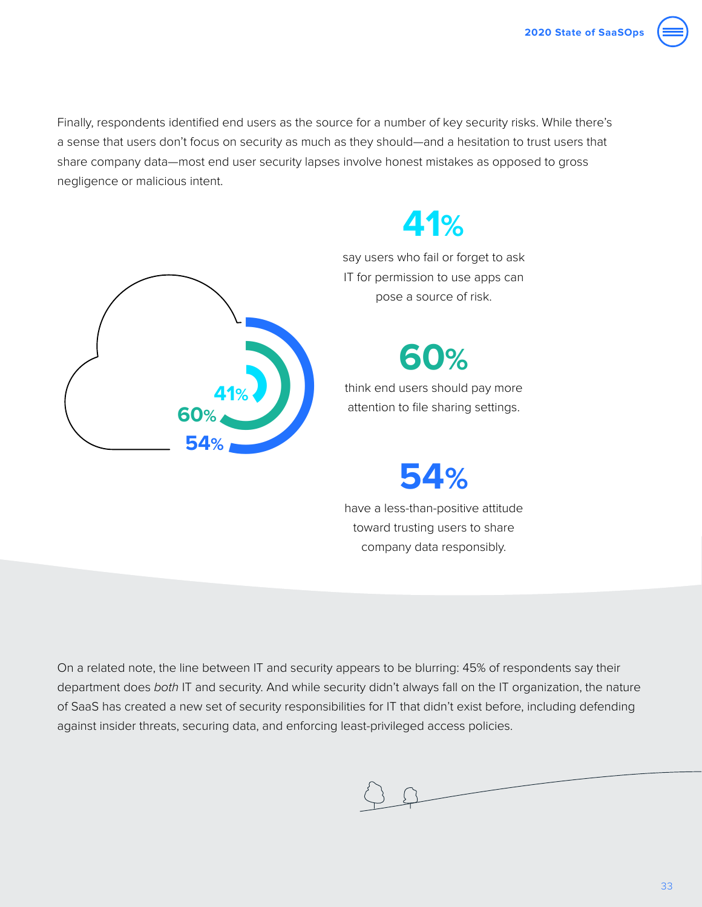Finally, respondents identified end users as the source for a number of key security risks. While there's a sense that users don't focus on security as much as they should—and a hesitation to trust users that share company data—most end user security lapses involve honest mistakes as opposed to gross negligence or malicious intent.



# **41%**

say users who fail or forget to ask IT for permission to use apps can pose a source of risk.

**60%**

think end users should pay more attention to file sharing settings.

**54%**

have a less-than-positive attitude toward trusting users to share company data responsibly.

On a related note, the line between IT and security appears to be blurring: 45% of respondents say their department does *both* IT and security. And while security didn't always fall on the IT organization, the nature of SaaS has created a new set of security responsibilities for IT that didn't exist before, including defending against insider threats, securing data, and enforcing least-privileged access policies.

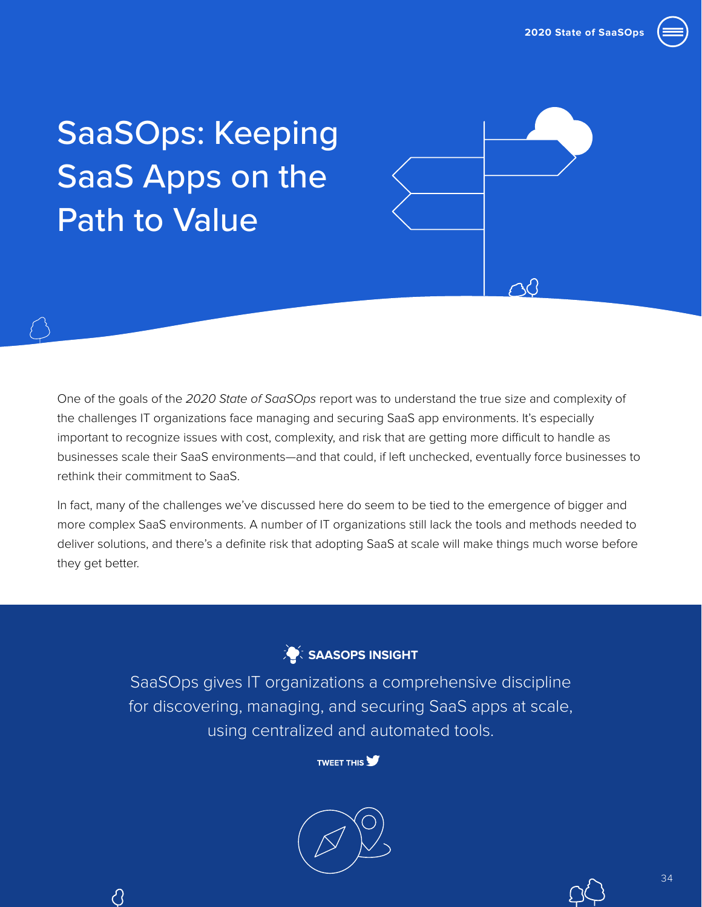

# <span id="page-33-0"></span>SaaSOps: Keeping SaaS Apps on the Path to Value

∂

One of the goals of the *2020 State of SaaSOps* report was to understand the true size and complexity of the challenges IT organizations face managing and securing SaaS app environments. It's especially important to recognize issues with cost, complexity, and risk that are getting more difficult to handle as businesses scale their SaaS environments—and that could, if left unchecked, eventually force businesses to rethink their commitment to SaaS.

In fact, many of the challenges we've discussed here do seem to be tied to the emergence of bigger and more complex SaaS environments. A number of IT organizations still lack the tools and methods needed to deliver solutions, and there's a definite risk that adopting SaaS at scale will make things much worse before they get better.



SaaSOps gives IT organizations a comprehensive discipline for discovering, managing, and securing SaaS apps at scale, using centralized and automated tools.



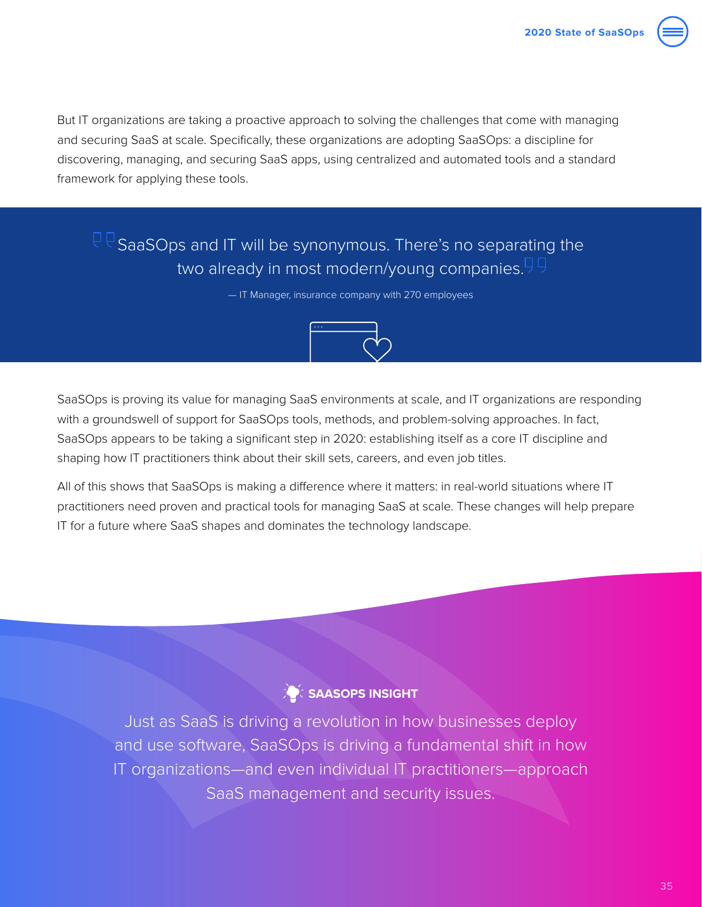

But IT organizations are taking a proactive approach to solving the challenges that come with managing and securing SaaS at scale. Specifically, these organizations are adopting SaaSOps: a discipline for discovering, managing, and securing SaaS apps, using centralized and automated tools and a standard framework for applying these tools.

## $\mathbb{P} \mathbb{P}_\mathsf{SaaSOps}$  and IT will be synonymous. There's no separating the two already in most modern/young companies.

— IT Manager, insurance company with 270 employees



SaaSOps is proving its value for managing SaaS environments at scale, and IT organizations are responding with a groundswell of support for SaaSOps tools, methods, and problem-solving approaches. In fact, SaaSOps appears to be taking a significant step in 2020: establishing itself as a core IT discipline and shaping how IT practitioners think about their skill sets, careers, and even job titles.

All of this shows that SaaSOps is making a difference where it matters: in real-world situations where IT practitioners need proven and practical tools for managing SaaS at scale. These changes will help prepare IT for a future where SaaS shapes and dominates the technology landscape.

### **SAASOPS INSIGHT**

Just as SaaS is driving a revolution in how businesses deploy and use software, SaaSOps is driving a fundamental shift in how IT organizations—and even individual IT practitioners—approach SaaS management and security issues.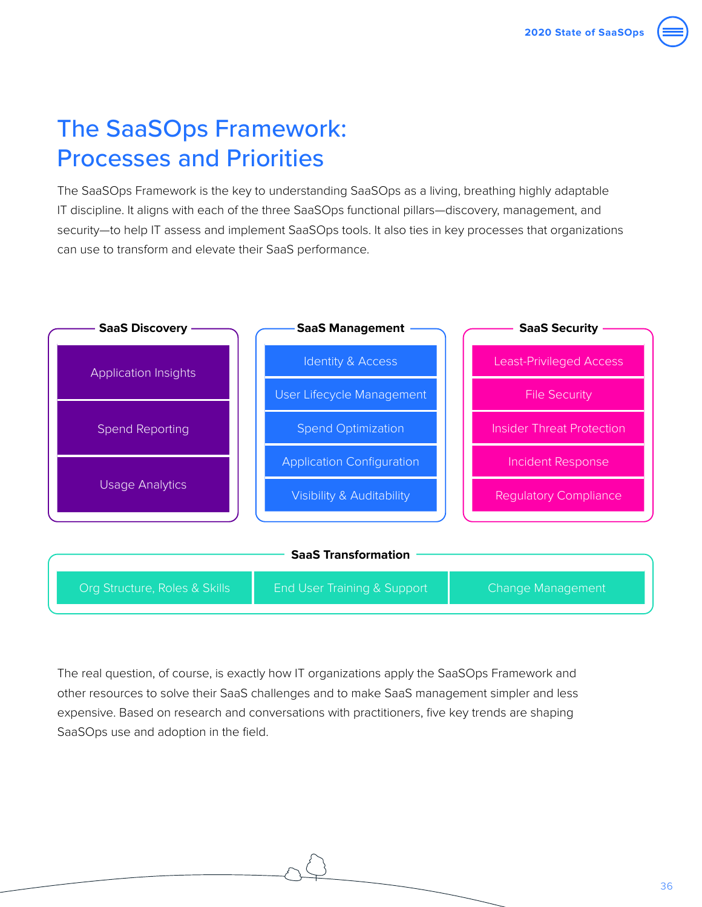

# <span id="page-35-0"></span>The SaaSOps Framework: Processes and Priorities

The SaaSOps Framework is the key to understanding SaaSOps as a living, breathing highly adaptable IT discipline. It aligns with each of the three SaaSOps functional pillars—discovery, management, and security—to help IT assess and implement SaaSOps tools. It also ties in key processes that organizations can use to transform and elevate their SaaS performance.



The real question, of course, is exactly how IT organizations apply the SaaSOps Framework and other resources to solve their SaaS challenges and to make SaaS management simpler and less expensive. Based on research and conversations with practitioners, five key trends are shaping SaaSOps use and adoption in the field.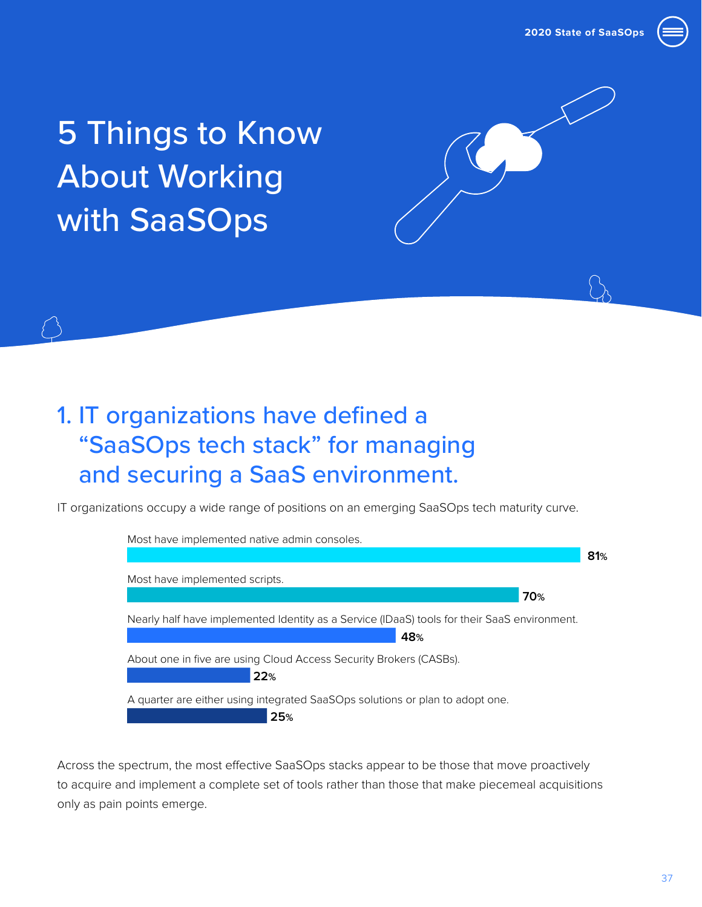

# <span id="page-36-0"></span>5 Things to Know About Working with SaaSOps

# 1. IT organizations have defined a "SaaSOps tech stack" for managing and securing a SaaS environment.

IT organizations occupy a wide range of positions on an emerging SaaSOps tech maturity curve.



Across the spectrum, the most effective SaaSOps stacks appear to be those that move proactively to acquire and implement a complete set of tools rather than those that make piecemeal acquisitions only as pain points emerge.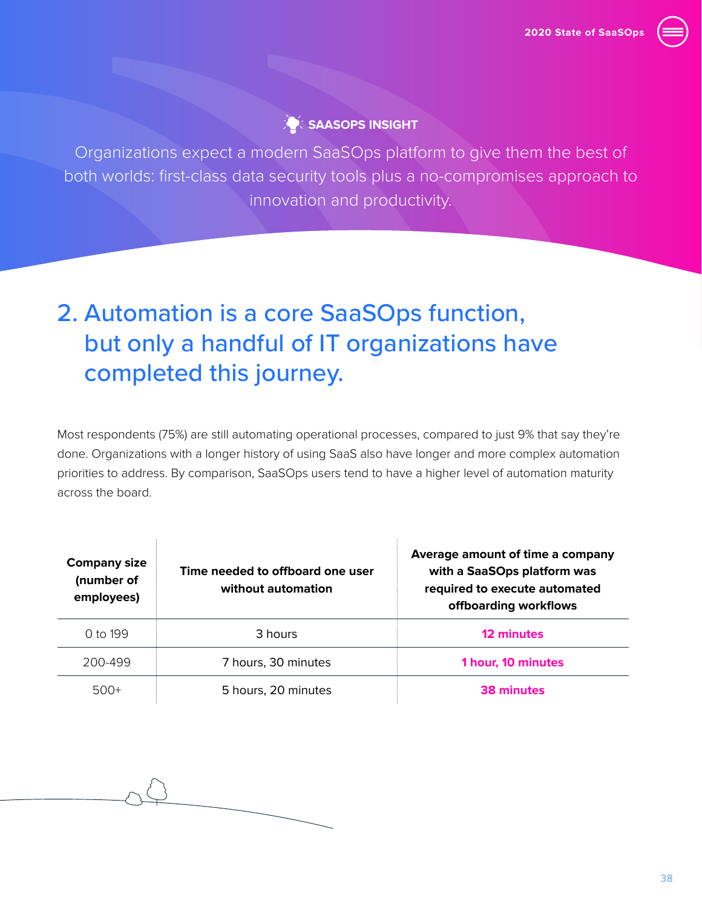

### **SAASOPS INSIGHT**

Organizations expect a modern SaaSOps platform to give them the best of both worlds: first-class data security tools plus a no-compromises approach to innovation and productivity.

# 2. Automation is a core SaaSOps function, but only a handful of IT organizations have completed this journey.

Most respondents (75%) are still automating operational processes, compared to just 9% that say they're done. Organizations with a longer history of using SaaS also have longer and more complex automation priorities to address. By comparison, SaaSOps users tend to have a higher level of automation maturity across the board.

ŧ

| <b>Company size</b><br>(number of<br>employees) | Time needed to offboard one user<br>without automation | Average amount of time a company<br>with a SaaSOps platform was<br>required to execute automated<br>offboarding workflows |
|-------------------------------------------------|--------------------------------------------------------|---------------------------------------------------------------------------------------------------------------------------|
| $0 \text{ to } 199$                             | 3 hours                                                | 12 minutes                                                                                                                |
| 200-499                                         | 7 hours, 30 minutes                                    | 1 hour, 10 minutes                                                                                                        |
| $500+$                                          | 5 hours, 20 minutes                                    | 38 minutes                                                                                                                |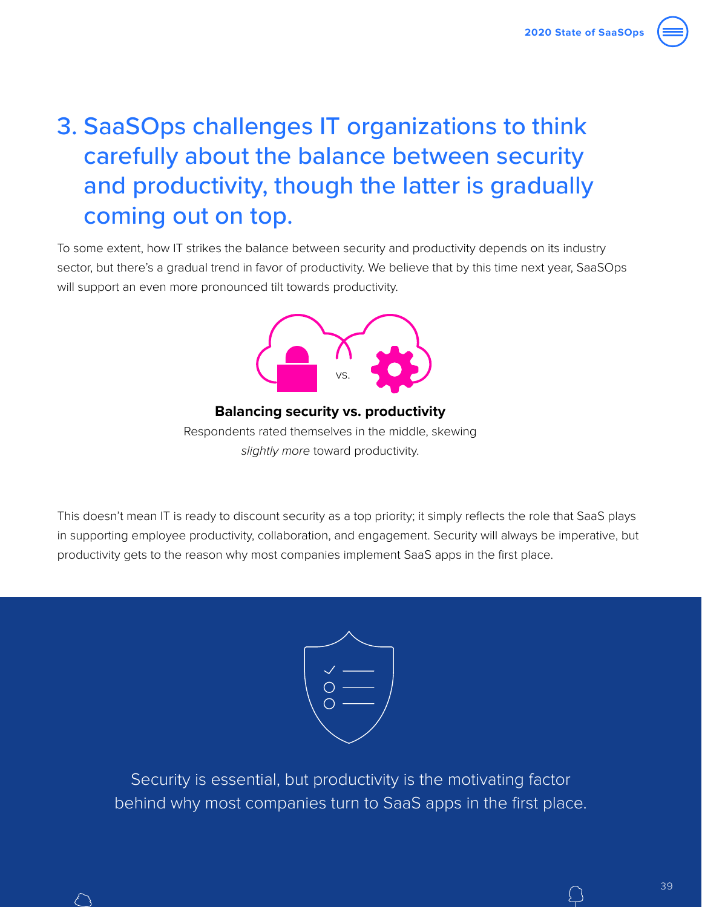# 3. SaaSOps challenges IT organizations to think carefully about the balance between security and productivity, though the latter is gradually coming out on top.

To some extent, how IT strikes the balance between security and productivity depends on its industry sector, but there's a gradual trend in favor of productivity. We believe that by this time next year, SaaSOps will support an even more pronounced tilt towards productivity.



**Balancing security vs. productivity** Respondents rated themselves in the middle, skewing *slightly more* toward productivity.

This doesn't mean IT is ready to discount security as a top priority; it simply reflects the role that SaaS plays in supporting employee productivity, collaboration, and engagement. Security will always be imperative, but productivity gets to the reason why most companies implement SaaS apps in the first place.



Security is essential, but productivity is the motivating factor behind why most companies turn to SaaS apps in the first place.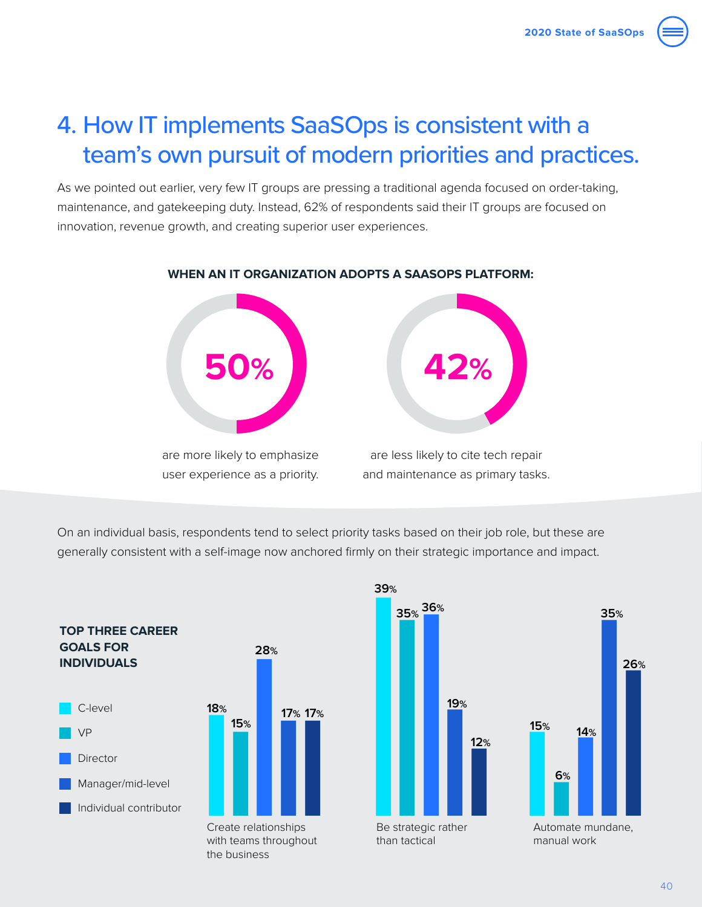# 4. How IT implements SaaSOps is consistent with a team's own pursuit of modern priorities and practices.

As we pointed out earlier, very few IT groups are pressing a traditional agenda focused on order-taking, maintenance, and gatekeeping duty. Instead, 62% of respondents said their IT groups are focused on innovation, revenue growth, and creating superior user experiences.



### **WHEN AN IT ORGANIZATION ADOPTS A SAASOPS PLATFORM:**

On an individual basis, respondents tend to select priority tasks based on their job role, but these are generally consistent with a self-image now anchored firmly on their strategic importance and impact.



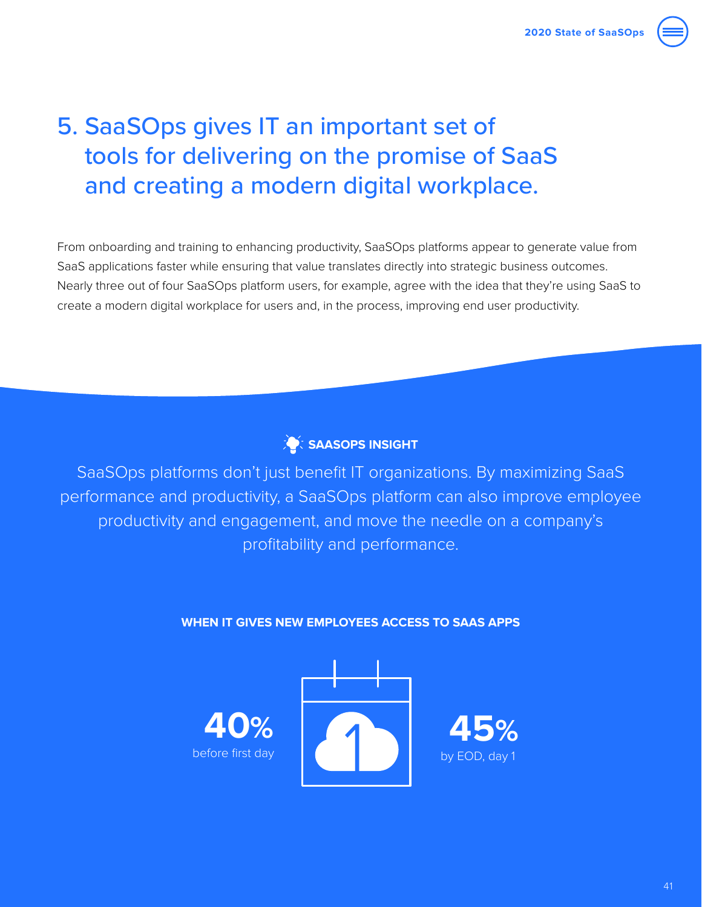# 5. SaaSOps gives IT an important set of tools for delivering on the promise of SaaS and creating a modern digital workplace.

From onboarding and training to enhancing productivity, SaaSOps platforms appear to generate value from SaaS applications faster while ensuring that value translates directly into strategic business outcomes. Nearly three out of four SaaSOps platform users, for example, agree with the idea that they're using SaaS to create a modern digital workplace for users and, in the process, improving end user productivity.



SaaSOps platforms don't just benefit IT organizations. By maximizing SaaS performance and productivity, a SaaSOps platform can also improve employee productivity and engagement, and move the needle on a company's profitability and performance.

### **WHEN IT GIVES NEW EMPLOYEES ACCESS TO SAAS APPS**

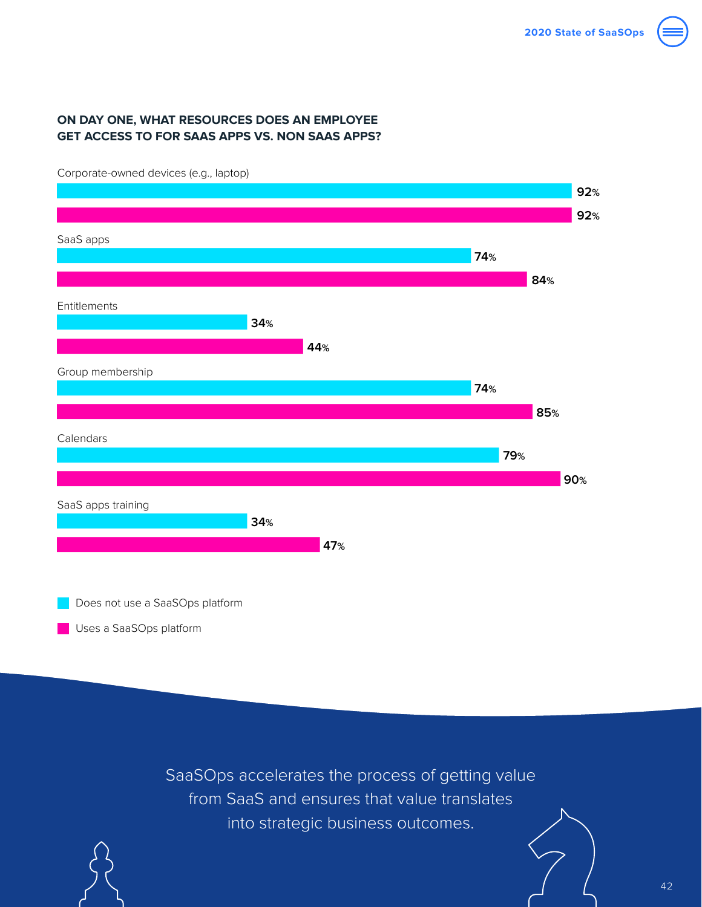

### **ON DAY ONE, WHAT RESOURCES DOES AN EMPLOYEE GET ACCESS TO FOR SAAS APPS VS. NON SAAS APPS?**

**92% 74% 74% 79% 92% 84% 85% 90%** Corporate-owned devices (e.g., laptop) SaaS apps Entitlements Group membership Calendars SaaS apps training<br>34 November - American Barcelona, poeta estadounidense de la construction de la construction de la constructio<br>34 November - Antonio de la construction de la construction de la construction de la constru Corporate-owned devices (e.g., laptop)<br>- Corporate-owned devices (e.g., laptop) <u>922 - Andrea San Aonaichte ann an Cathracha ann an Càrann an Chuid ann an Càrann an C</u> Saas apps<br>The Communication of the Communication of the Communication of the Communication of the Communication of the C <u>84 - Animal Animal Animal Animal Animal Animal Animal Animal Animal Animal Animal Animal Animal Ani</u> Entitiements<br>Entitiements 44 Group membership<br>The contract of the contract of the contract of the contract of the contract of the contract of the contract o e de la construcción de la construcción de la construcción de la construcción de la construcción de la constru<br>A la construcción de la construcción de la construcción de la construcción de la construcción de la construcci Calendars<br>Talendars – The Company of the Company of the Company of the Company of the Company of the Company of The Comp e de la construcción de la construcción de la construcción de la construcción de la construcción de la construcció<br>Desde la construcción de la construcción de la construcción de la construcción de la construcción de la con <u>472 - Jan Jawa Barat, pamanganan perang di pada 1974 - Pamanganan perang di pada 1974 - Pamangangan di pada 1</u> **34% 34% 44% 47%**

Does not use a SaaSOps platform

Uses a SaaSOps platform

SaaSOps accelerates the process of getting value from SaaS and ensures that value translates into strategic business outcomes.

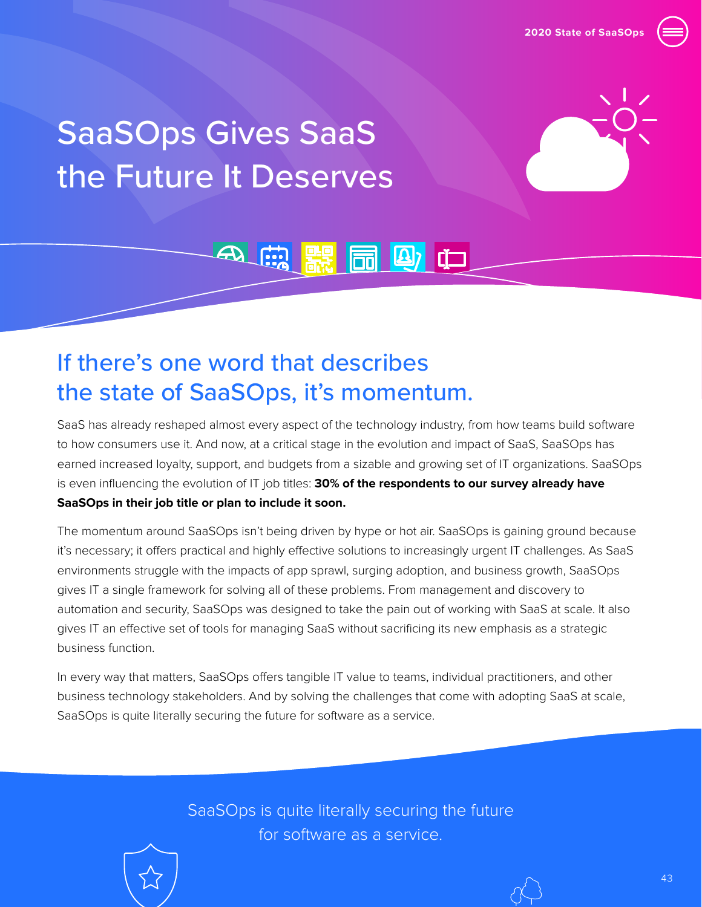

# <span id="page-42-0"></span>SaaSOps Gives SaaS the Future It Deserves



# If there's one word that describes the state of SaaSOps, it's momentum.

SaaS has already reshaped almost every aspect of the technology industry, from how teams build software to how consumers use it. And now, at a critical stage in the evolution and impact of SaaS, SaaSOps has earned increased loyalty, support, and budgets from a sizable and growing set of IT organizations. SaaSOps is even influencing the evolution of IT job titles: **30% of the respondents to our survey already have SaaSOps in their job title or plan to include it soon.**

4、【第】 【 图 四 中

The momentum around SaaSOps isn't being driven by hype or hot air. SaaSOps is gaining ground because it's necessary; it offers practical and highly effective solutions to increasingly urgent IT challenges. As SaaS environments struggle with the impacts of app sprawl, surging adoption, and business growth, SaaSOps gives IT a single framework for solving all of these problems. From management and discovery to automation and security, SaaSOps was designed to take the pain out of working with SaaS at scale. It also gives IT an effective set of tools for managing SaaS without sacrificing its new emphasis as a strategic business function.

In every way that matters, SaaSOps offers tangible IT value to teams, individual practitioners, and other business technology stakeholders. And by solving the challenges that come with adopting SaaS at scale, SaaSOps is quite literally securing the future for software as a service.

> SaaSOps is quite literally securing the future for software as a service.